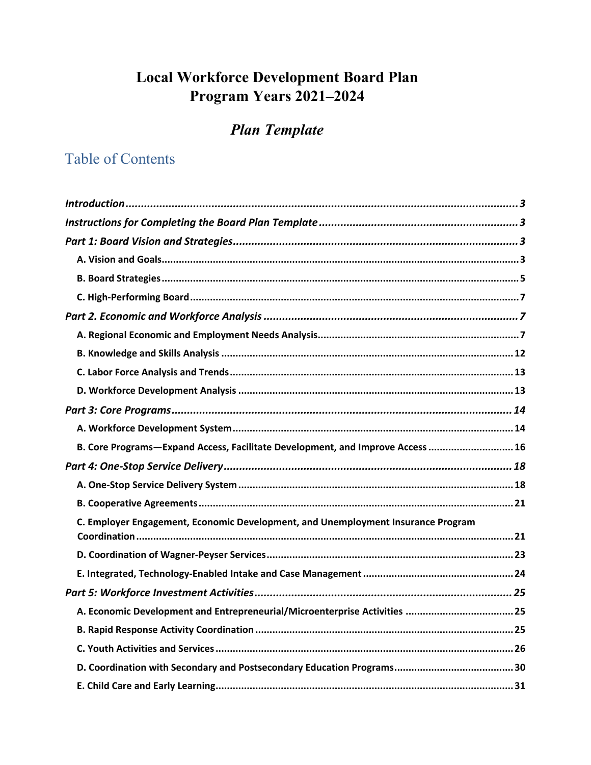# **Local Workforce Development Board Plan** Program Years 2021-2024

# **Plan Template**

# **Table of Contents**

| B. Core Programs-Expand Access, Facilitate Development, and Improve Access  16   |
|----------------------------------------------------------------------------------|
|                                                                                  |
|                                                                                  |
|                                                                                  |
| C. Employer Engagement, Economic Development, and Unemployment Insurance Program |
|                                                                                  |
|                                                                                  |
|                                                                                  |
|                                                                                  |
|                                                                                  |
|                                                                                  |
|                                                                                  |
|                                                                                  |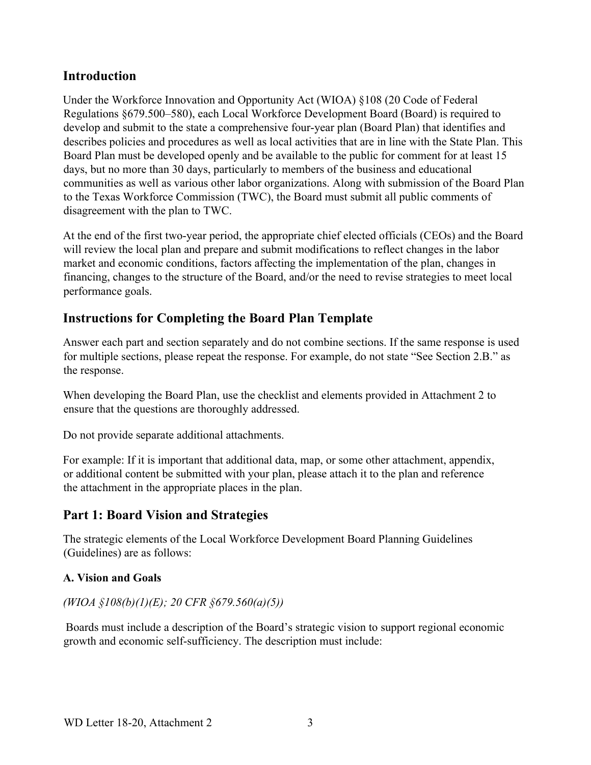# **Introduction**

Under the Workforce Innovation and Opportunity Act (WIOA) §108 (20 Code of Federal Regulations §679.500–580), each Local Workforce Development Board (Board) is required to develop and submit to the state a comprehensive four-year plan (Board Plan) that identifies and describes policies and procedures as well as local activities that are in line with the State Plan. This Board Plan must be developed openly and be available to the public for comment for at least 15 days, but no more than 30 days, particularly to members of the business and educational communities as well as various other labor organizations. Along with submission of the Board Plan to the Texas Workforce Commission (TWC), the Board must submit all public comments of disagreement with the plan to TWC.

At the end of the first two-year period, the appropriate chief elected officials (CEOs) and the Board will review the local plan and prepare and submit modifications to reflect changes in the labor market and economic conditions, factors affecting the implementation of the plan, changes in financing, changes to the structure of the Board, and/or the need to revise strategies to meet local performance goals.

# **Instructions for Completing the Board Plan Template**

Answer each part and section separately and do not combine sections. If the same response is used for multiple sections, please repeat the response. For example, do not state "See Section 2.B." as the response.

When developing the Board Plan, use the checklist and elements provided in Attachment 2 to ensure that the questions are thoroughly addressed.

Do not provide separate additional attachments.

For example: If it is important that additional data, map, or some other attachment, appendix, or additional content be submitted with your plan, please attach it to the plan and reference the attachment in the appropriate places in the plan.

# **Part 1: Board Vision and Strategies**

The strategic elements of the Local Workforce Development Board Planning Guidelines (Guidelines) are as follows:

# **A. Vision and Goals**

# *(WIOA §108(b)(1)(E); 20 CFR §679.560(a)(5))*

 Boards must include a description of the Board's strategic vision to support regional economic growth and economic self-sufficiency. The description must include: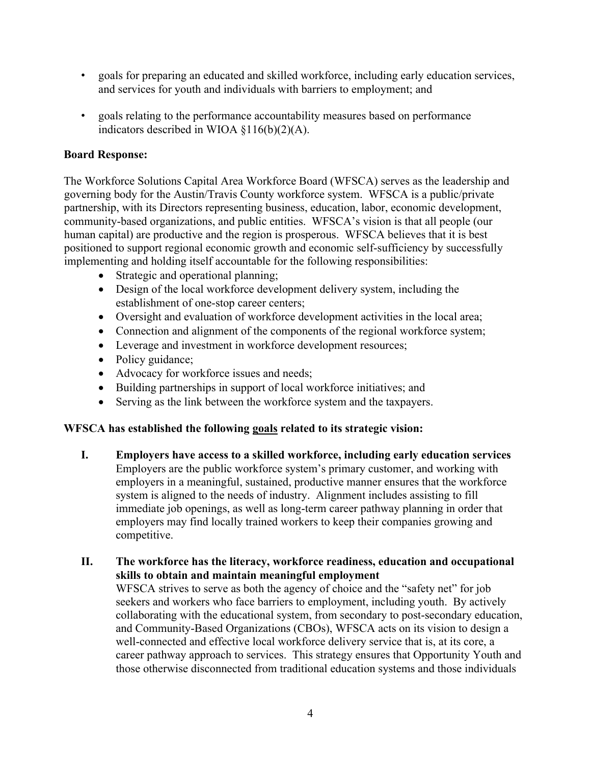- goals for preparing an educated and skilled workforce, including early education services, and services for youth and individuals with barriers to employment; and
- goals relating to the performance accountability measures based on performance indicators described in WIOA §116(b)(2)(A).

### **Board Response:**

The Workforce Solutions Capital Area Workforce Board (WFSCA) serves as the leadership and governing body for the Austin/Travis County workforce system. WFSCA is a public/private partnership, with its Directors representing business, education, labor, economic development, community-based organizations, and public entities. WFSCA's vision is that all people (our human capital) are productive and the region is prosperous. WFSCA believes that it is best positioned to support regional economic growth and economic self-sufficiency by successfully implementing and holding itself accountable for the following responsibilities:

- Strategic and operational planning;
- Design of the local workforce development delivery system, including the establishment of one-stop career centers;
- Oversight and evaluation of workforce development activities in the local area;
- Connection and alignment of the components of the regional workforce system;
- Leverage and investment in workforce development resources;
- Policy guidance;
- Advocacy for workforce issues and needs;
- Building partnerships in support of local workforce initiatives; and
- Serving as the link between the workforce system and the taxpayers.

#### **WFSCA has established the following goals related to its strategic vision:**

- **I. Employers have access to a skilled workforce, including early education services**  Employers are the public workforce system's primary customer, and working with employers in a meaningful, sustained, productive manner ensures that the workforce system is aligned to the needs of industry. Alignment includes assisting to fill immediate job openings, as well as long-term career pathway planning in order that employers may find locally trained workers to keep their companies growing and competitive.
- **II. The workforce has the literacy, workforce readiness, education and occupational skills to obtain and maintain meaningful employment**

WFSCA strives to serve as both the agency of choice and the "safety net" for job seekers and workers who face barriers to employment, including youth. By actively collaborating with the educational system, from secondary to post-secondary education, and Community-Based Organizations (CBOs), WFSCA acts on its vision to design a well-connected and effective local workforce delivery service that is, at its core, a career pathway approach to services. This strategy ensures that Opportunity Youth and those otherwise disconnected from traditional education systems and those individuals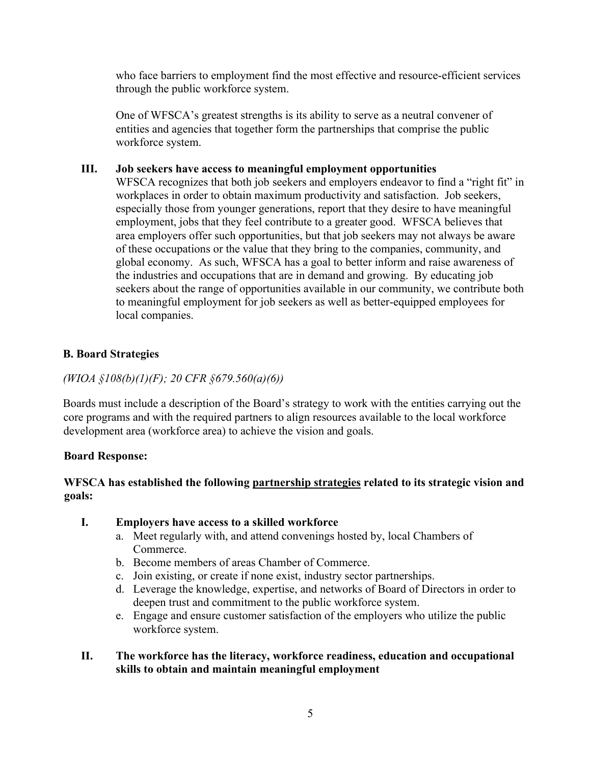who face barriers to employment find the most effective and resource-efficient services through the public workforce system.

One of WFSCA's greatest strengths is its ability to serve as a neutral convener of entities and agencies that together form the partnerships that comprise the public workforce system.

#### **III. Job seekers have access to meaningful employment opportunities**

WFSCA recognizes that both job seekers and employers endeavor to find a "right fit" in workplaces in order to obtain maximum productivity and satisfaction. Job seekers, especially those from younger generations, report that they desire to have meaningful employment, jobs that they feel contribute to a greater good. WFSCA believes that area employers offer such opportunities, but that job seekers may not always be aware of these occupations or the value that they bring to the companies, community, and global economy. As such, WFSCA has a goal to better inform and raise awareness of the industries and occupations that are in demand and growing. By educating job seekers about the range of opportunities available in our community, we contribute both to meaningful employment for job seekers as well as better-equipped employees for local companies.

## **B. Board Strategies**

### *(WIOA §108(b)(1)(F); 20 CFR §679.560(a)(6))*

Boards must include a description of the Board's strategy to work with the entities carrying out the core programs and with the required partners to align resources available to the local workforce development area (workforce area) to achieve the vision and goals.

#### **Board Response:**

### **WFSCA has established the following partnership strategies related to its strategic vision and goals:**

- **I. Employers have access to a skilled workforce** 
	- a. Meet regularly with, and attend convenings hosted by, local Chambers of Commerce.
	- b. Become members of areas Chamber of Commerce.
	- c. Join existing, or create if none exist, industry sector partnerships.
	- d. Leverage the knowledge, expertise, and networks of Board of Directors in order to deepen trust and commitment to the public workforce system.
	- e. Engage and ensure customer satisfaction of the employers who utilize the public workforce system.

### **II. The workforce has the literacy, workforce readiness, education and occupational skills to obtain and maintain meaningful employment**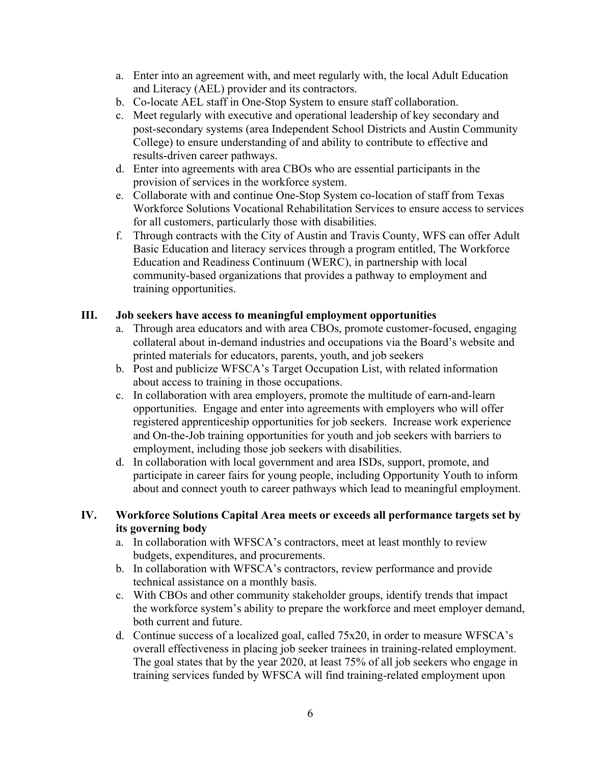- a. Enter into an agreement with, and meet regularly with, the local Adult Education and Literacy (AEL) provider and its contractors.
- b. Co-locate AEL staff in One-Stop System to ensure staff collaboration.
- c. Meet regularly with executive and operational leadership of key secondary and post-secondary systems (area Independent School Districts and Austin Community College) to ensure understanding of and ability to contribute to effective and results-driven career pathways.
- d. Enter into agreements with area CBOs who are essential participants in the provision of services in the workforce system.
- e. Collaborate with and continue One-Stop System co-location of staff from Texas Workforce Solutions Vocational Rehabilitation Services to ensure access to services for all customers, particularly those with disabilities.
- f. Through contracts with the City of Austin and Travis County, WFS can offer Adult Basic Education and literacy services through a program entitled, The Workforce Education and Readiness Continuum (WERC), in partnership with local community-based organizations that provides a pathway to employment and training opportunities.

#### **III. Job seekers have access to meaningful employment opportunities**

- a. Through area educators and with area CBOs, promote customer-focused, engaging collateral about in-demand industries and occupations via the Board's website and printed materials for educators, parents, youth, and job seekers
- b. Post and publicize WFSCA's Target Occupation List, with related information about access to training in those occupations.
- c. In collaboration with area employers, promote the multitude of earn-and-learn opportunities. Engage and enter into agreements with employers who will offer registered apprenticeship opportunities for job seekers. Increase work experience and On-the-Job training opportunities for youth and job seekers with barriers to employment, including those job seekers with disabilities.
- d. In collaboration with local government and area ISDs, support, promote, and participate in career fairs for young people, including Opportunity Youth to inform about and connect youth to career pathways which lead to meaningful employment.

#### **IV. Workforce Solutions Capital Area meets or exceeds all performance targets set by its governing body**

- a. In collaboration with WFSCA's contractors, meet at least monthly to review budgets, expenditures, and procurements.
- b. In collaboration with WFSCA's contractors, review performance and provide technical assistance on a monthly basis.
- c. With CBOs and other community stakeholder groups, identify trends that impact the workforce system's ability to prepare the workforce and meet employer demand, both current and future.
- d. Continue success of a localized goal, called 75x20, in order to measure WFSCA's overall effectiveness in placing job seeker trainees in training-related employment. The goal states that by the year 2020, at least 75% of all job seekers who engage in training services funded by WFSCA will find training-related employment upon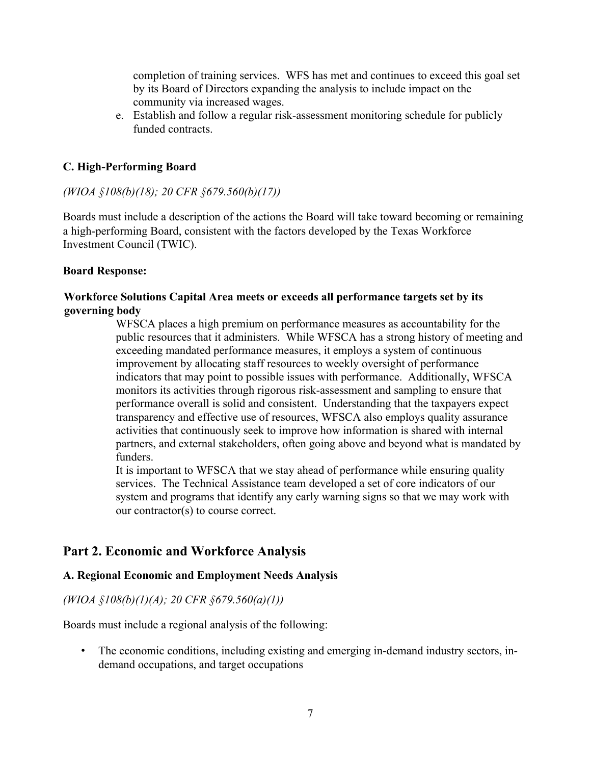completion of training services. WFS has met and continues to exceed this goal set by its Board of Directors expanding the analysis to include impact on the community via increased wages.

e. Establish and follow a regular risk-assessment monitoring schedule for publicly funded contracts.

### **C. High-Performing Board**

#### *(WIOA §108(b)(18); 20 CFR §679.560(b)(17))*

Boards must include a description of the actions the Board will take toward becoming or remaining a high-performing Board, consistent with the factors developed by the Texas Workforce Investment Council (TWIC).

#### **Board Response:**

#### **Workforce Solutions Capital Area meets or exceeds all performance targets set by its governing body**

WFSCA places a high premium on performance measures as accountability for the public resources that it administers. While WFSCA has a strong history of meeting and exceeding mandated performance measures, it employs a system of continuous improvement by allocating staff resources to weekly oversight of performance indicators that may point to possible issues with performance. Additionally, WFSCA monitors its activities through rigorous risk-assessment and sampling to ensure that performance overall is solid and consistent. Understanding that the taxpayers expect transparency and effective use of resources, WFSCA also employs quality assurance activities that continuously seek to improve how information is shared with internal partners, and external stakeholders, often going above and beyond what is mandated by funders.

It is important to WFSCA that we stay ahead of performance while ensuring quality services. The Technical Assistance team developed a set of core indicators of our system and programs that identify any early warning signs so that we may work with our contractor(s) to course correct.

# **Part 2. Economic and Workforce Analysis**

#### **A. Regional Economic and Employment Needs Analysis**

#### *(WIOA §108(b)(1)(A); 20 CFR §679.560(a)(1))*

Boards must include a regional analysis of the following:

• The economic conditions, including existing and emerging in-demand industry sectors, indemand occupations, and target occupations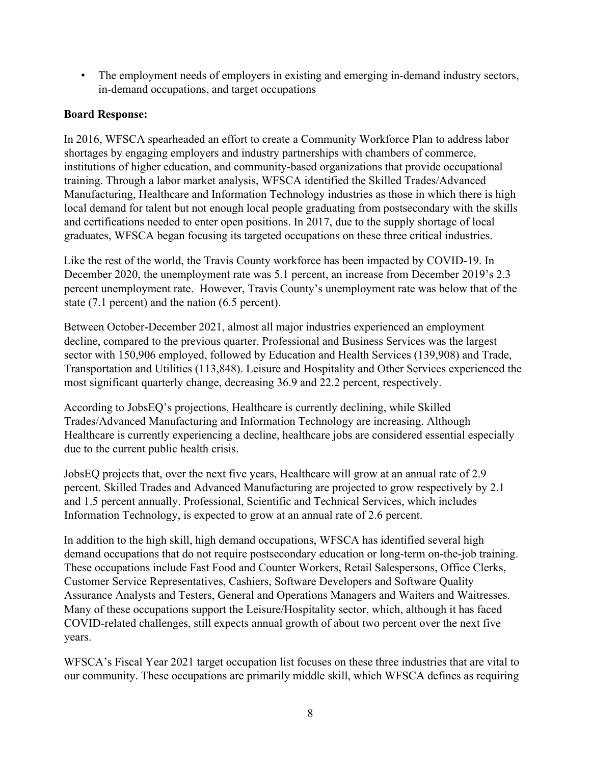• The employment needs of employers in existing and emerging in-demand industry sectors, in-demand occupations, and target occupations

## **Board Response:**

In 2016, WFSCA spearheaded an effort to create a Community Workforce Plan to address labor shortages by engaging employers and industry partnerships with chambers of commerce, institutions of higher education, and community-based organizations that provide occupational training. Through a labor market analysis, WFSCA identified the Skilled Trades/Advanced Manufacturing, Healthcare and Information Technology industries as those in which there is high local demand for talent but not enough local people graduating from postsecondary with the skills and certifications needed to enter open positions. In 2017, due to the supply shortage of local graduates, WFSCA began focusing its targeted occupations on these three critical industries.

Like the rest of the world, the Travis County workforce has been impacted by COVID-19. In December 2020, the unemployment rate was 5.1 percent, an increase from December 2019's 2.3 percent unemployment rate. However, Travis County's unemployment rate was below that of the state (7.1 percent) and the nation (6.5 percent).

Between October-December 2021, almost all major industries experienced an employment decline, compared to the previous quarter. Professional and Business Services was the largest sector with 150,906 employed, followed by Education and Health Services (139,908) and Trade, Transportation and Utilities (113,848). Leisure and Hospitality and Other Services experienced the most significant quarterly change, decreasing 36.9 and 22.2 percent, respectively.

According to JobsEQ's projections, Healthcare is currently declining, while Skilled Trades/Advanced Manufacturing and Information Technology are increasing. Although Healthcare is currently experiencing a decline, healthcare jobs are considered essential especially due to the current public health crisis.

JobsEQ projects that, over the next five years, Healthcare will grow at an annual rate of 2.9 percent. Skilled Trades and Advanced Manufacturing are projected to grow respectively by 2.1 and 1.5 percent annually. Professional, Scientific and Technical Services, which includes Information Technology, is expected to grow at an annual rate of 2.6 percent.

In addition to the high skill, high demand occupations, WFSCA has identified several high demand occupations that do not require postsecondary education or long-term on-the-job training. These occupations include Fast Food and Counter Workers, Retail Salespersons, Office Clerks, Customer Service Representatives, Cashiers, Software Developers and Software Quality Assurance Analysts and Testers, General and Operations Managers and Waiters and Waitresses. Many of these occupations support the Leisure/Hospitality sector, which, although it has faced COVID-related challenges, still expects annual growth of about two percent over the next five years.

WFSCA's Fiscal Year 2021 target occupation list focuses on these three industries that are vital to our community. These occupations are primarily middle skill, which WFSCA defines as requiring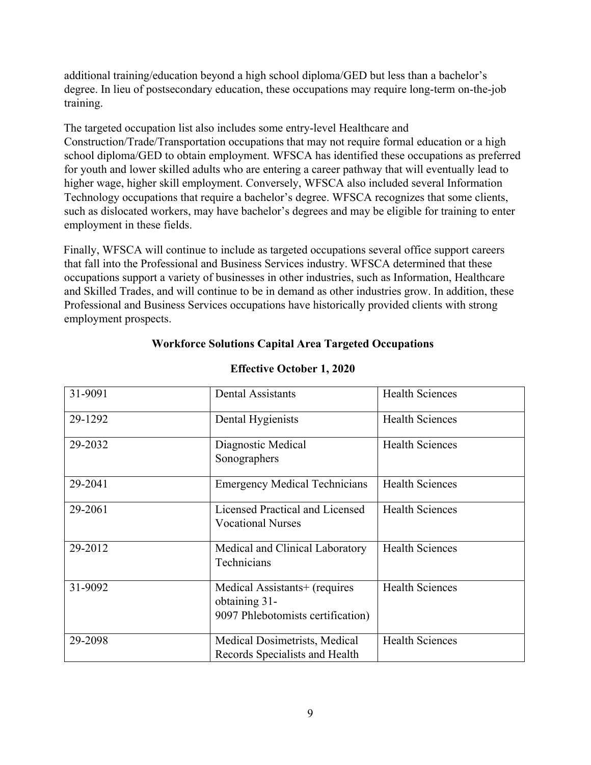additional training/education beyond a high school diploma/GED but less than a bachelor's degree. In lieu of postsecondary education, these occupations may require long-term on-the-job training.

The targeted occupation list also includes some entry-level Healthcare and Construction/Trade/Transportation occupations that may not require formal education or a high school diploma/GED to obtain employment. WFSCA has identified these occupations as preferred for youth and lower skilled adults who are entering a career pathway that will eventually lead to higher wage, higher skill employment. Conversely, WFSCA also included several Information Technology occupations that require a bachelor's degree. WFSCA recognizes that some clients, such as dislocated workers, may have bachelor's degrees and may be eligible for training to enter employment in these fields.

Finally, WFSCA will continue to include as targeted occupations several office support careers that fall into the Professional and Business Services industry. WFSCA determined that these occupations support a variety of businesses in other industries, such as Information, Healthcare and Skilled Trades, and will continue to be in demand as other industries grow. In addition, these Professional and Business Services occupations have historically provided clients with strong employment prospects.

### **Workforce Solutions Capital Area Targeted Occupations**

| 31-9091 | <b>Dental Assistants</b>                                                            | <b>Health Sciences</b> |
|---------|-------------------------------------------------------------------------------------|------------------------|
| 29-1292 | Dental Hygienists                                                                   | <b>Health Sciences</b> |
| 29-2032 | Diagnostic Medical<br>Sonographers                                                  | <b>Health Sciences</b> |
| 29-2041 | <b>Emergency Medical Technicians</b>                                                | <b>Health Sciences</b> |
| 29-2061 | Licensed Practical and Licensed<br><b>Vocational Nurses</b>                         | <b>Health Sciences</b> |
| 29-2012 | Medical and Clinical Laboratory<br>Technicians                                      | <b>Health Sciences</b> |
| 31-9092 | Medical Assistants+ (requires<br>obtaining 31-<br>9097 Phlebotomists certification) | <b>Health Sciences</b> |
| 29-2098 | Medical Dosimetrists, Medical<br>Records Specialists and Health                     | <b>Health Sciences</b> |

#### **Effective October 1, 2020**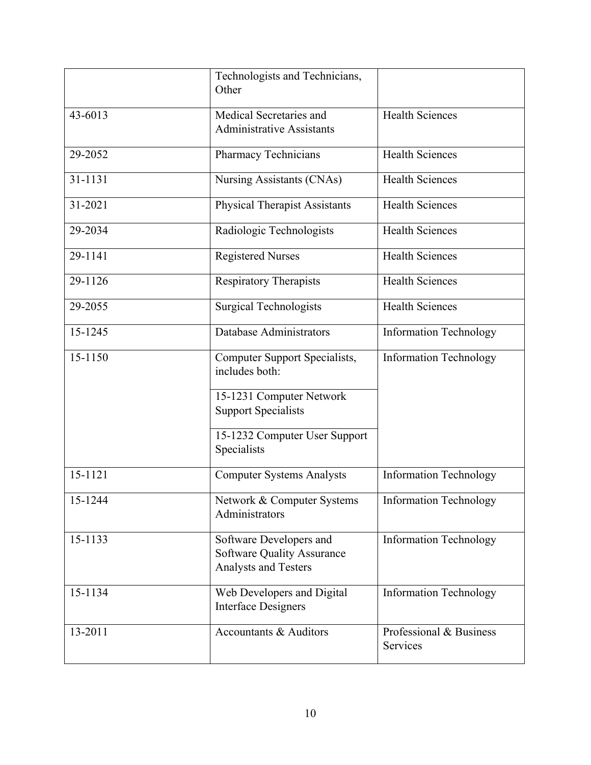|         | Technologists and Technicians,<br>Other                                                     |                                     |
|---------|---------------------------------------------------------------------------------------------|-------------------------------------|
| 43-6013 | Medical Secretaries and<br><b>Administrative Assistants</b>                                 | <b>Health Sciences</b>              |
| 29-2052 | Pharmacy Technicians                                                                        | <b>Health Sciences</b>              |
| 31-1131 | Nursing Assistants (CNAs)                                                                   | <b>Health Sciences</b>              |
| 31-2021 | <b>Physical Therapist Assistants</b>                                                        | <b>Health Sciences</b>              |
| 29-2034 | Radiologic Technologists                                                                    | <b>Health Sciences</b>              |
| 29-1141 | <b>Registered Nurses</b>                                                                    | <b>Health Sciences</b>              |
| 29-1126 | Respiratory Therapists                                                                      | <b>Health Sciences</b>              |
| 29-2055 | <b>Surgical Technologists</b>                                                               | <b>Health Sciences</b>              |
| 15-1245 | <b>Database Administrators</b>                                                              | <b>Information Technology</b>       |
| 15-1150 | Computer Support Specialists,<br>includes both:                                             | <b>Information Technology</b>       |
|         | 15-1231 Computer Network<br><b>Support Specialists</b>                                      |                                     |
|         | 15-1232 Computer User Support<br>Specialists                                                |                                     |
| 15-1121 | <b>Computer Systems Analysts</b>                                                            | <b>Information Technology</b>       |
| 15-1244 | Network & Computer Systems<br>Administrators                                                | <b>Information Technology</b>       |
| 15-1133 | Software Developers and<br><b>Software Quality Assurance</b><br><b>Analysts and Testers</b> | <b>Information Technology</b>       |
| 15-1134 | Web Developers and Digital<br><b>Interface Designers</b>                                    | <b>Information Technology</b>       |
| 13-2011 | Accountants & Auditors                                                                      | Professional & Business<br>Services |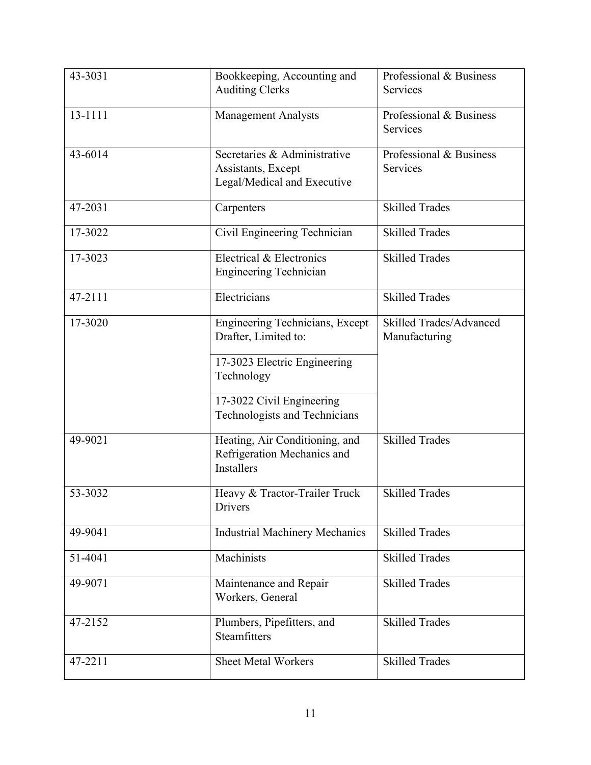| 43-3031 | Bookkeeping, Accounting and<br><b>Auditing Clerks</b>                              | Professional & Business<br>Services             |
|---------|------------------------------------------------------------------------------------|-------------------------------------------------|
| 13-1111 | <b>Management Analysts</b>                                                         | Professional & Business<br><b>Services</b>      |
| 43-6014 | Secretaries & Administrative<br>Assistants, Except<br>Legal/Medical and Executive  | Professional & Business<br><b>Services</b>      |
| 47-2031 | Carpenters                                                                         | <b>Skilled Trades</b>                           |
| 17-3022 | Civil Engineering Technician                                                       | <b>Skilled Trades</b>                           |
| 17-3023 | Electrical & Electronics<br><b>Engineering Technician</b>                          | <b>Skilled Trades</b>                           |
| 47-2111 | Electricians                                                                       | <b>Skilled Trades</b>                           |
| 17-3020 | Engineering Technicians, Except<br>Drafter, Limited to:                            | <b>Skilled Trades/Advanced</b><br>Manufacturing |
|         | 17-3023 Electric Engineering<br>Technology                                         |                                                 |
|         | 17-3022 Civil Engineering<br>Technologists and Technicians                         |                                                 |
| 49-9021 | Heating, Air Conditioning, and<br>Refrigeration Mechanics and<br><b>Installers</b> | <b>Skilled Trades</b>                           |
| 53-3032 | Heavy & Tractor-Trailer Truck<br>Drivers                                           | <b>Skilled Trades</b>                           |
| 49-9041 | <b>Industrial Machinery Mechanics</b>                                              | <b>Skilled Trades</b>                           |
| 51-4041 | Machinists                                                                         | <b>Skilled Trades</b>                           |
| 49-9071 | Maintenance and Repair<br>Workers, General                                         | <b>Skilled Trades</b>                           |
| 47-2152 | Plumbers, Pipefitters, and<br>Steamfitters                                         | <b>Skilled Trades</b>                           |
| 47-2211 | <b>Sheet Metal Workers</b>                                                         | <b>Skilled Trades</b>                           |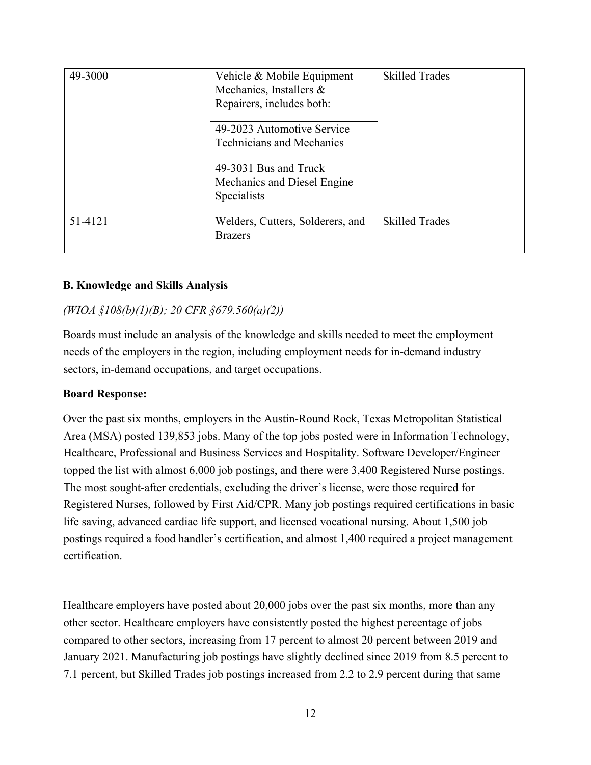| 49-3000 | Vehicle & Mobile Equipment<br>Mechanics, Installers &<br>Repairers, includes both: | <b>Skilled Trades</b> |
|---------|------------------------------------------------------------------------------------|-----------------------|
|         | 49-2023 Automotive Service<br><b>Technicians and Mechanics</b>                     |                       |
|         | 49-3031 Bus and Truck<br>Mechanics and Diesel Engine<br>Specialists                |                       |
| 51-4121 | Welders, Cutters, Solderers, and<br><b>Brazers</b>                                 | <b>Skilled Trades</b> |

#### **B. Knowledge and Skills Analysis**

#### *(WIOA §108(b)(1)(B); 20 CFR §679.560(a)(2))*

Boards must include an analysis of the knowledge and skills needed to meet the employment needs of the employers in the region, including employment needs for in-demand industry sectors, in-demand occupations, and target occupations.

#### **Board Response:**

Over the past six months, employers in the Austin-Round Rock, Texas Metropolitan Statistical Area (MSA) posted 139,853 jobs. Many of the top jobs posted were in Information Technology, Healthcare, Professional and Business Services and Hospitality. Software Developer/Engineer topped the list with almost 6,000 job postings, and there were 3,400 Registered Nurse postings. The most sought-after credentials, excluding the driver's license, were those required for Registered Nurses, followed by First Aid/CPR. Many job postings required certifications in basic life saving, advanced cardiac life support, and licensed vocational nursing. About 1,500 job postings required a food handler's certification, and almost 1,400 required a project management certification.

Healthcare employers have posted about 20,000 jobs over the past six months, more than any other sector. Healthcare employers have consistently posted the highest percentage of jobs compared to other sectors, increasing from 17 percent to almost 20 percent between 2019 and January 2021. Manufacturing job postings have slightly declined since 2019 from 8.5 percent to 7.1 percent, but Skilled Trades job postings increased from 2.2 to 2.9 percent during that same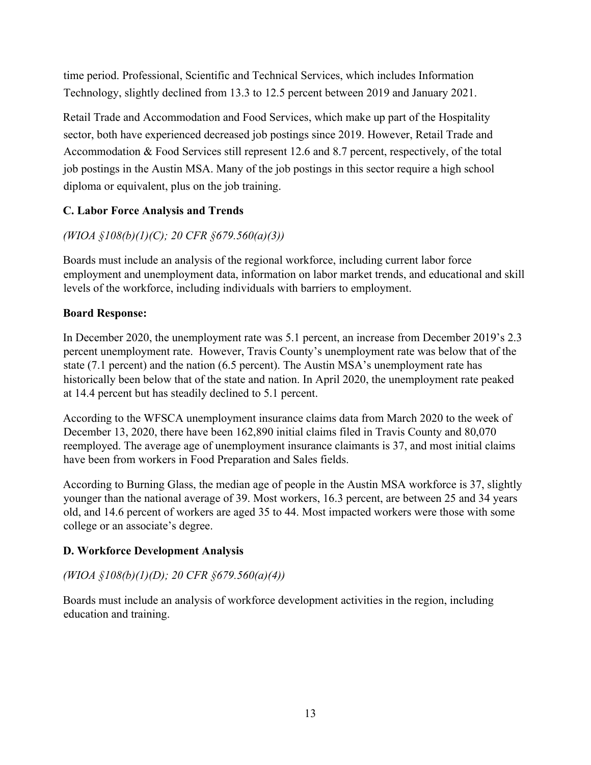time period. Professional, Scientific and Technical Services, which includes Information Technology, slightly declined from 13.3 to 12.5 percent between 2019 and January 2021.

Retail Trade and Accommodation and Food Services, which make up part of the Hospitality sector, both have experienced decreased job postings since 2019. However, Retail Trade and Accommodation & Food Services still represent 12.6 and 8.7 percent, respectively, of the total job postings in the Austin MSA. Many of the job postings in this sector require a high school diploma or equivalent, plus on the job training.

## **C. Labor Force Analysis and Trends**

# *(WIOA §108(b)(1)(C); 20 CFR §679.560(a)(3))*

Boards must include an analysis of the regional workforce, including current labor force employment and unemployment data, information on labor market trends, and educational and skill levels of the workforce, including individuals with barriers to employment.

## **Board Response:**

In December 2020, the unemployment rate was 5.1 percent, an increase from December 2019's 2.3 percent unemployment rate. However, Travis County's unemployment rate was below that of the state (7.1 percent) and the nation (6.5 percent). The Austin MSA's unemployment rate has historically been below that of the state and nation. In April 2020, the unemployment rate peaked at 14.4 percent but has steadily declined to 5.1 percent.

According to the WFSCA unemployment insurance claims data from March 2020 to the week of December 13, 2020, there have been 162,890 initial claims filed in Travis County and 80,070 reemployed. The average age of unemployment insurance claimants is 37, and most initial claims have been from workers in Food Preparation and Sales fields.

According to Burning Glass, the median age of people in the Austin MSA workforce is 37, slightly younger than the national average of 39. Most workers, 16.3 percent, are between 25 and 34 years old, and 14.6 percent of workers are aged 35 to 44. Most impacted workers were those with some college or an associate's degree.

#### **D. Workforce Development Analysis**

## *(WIOA §108(b)(1)(D); 20 CFR §679.560(a)(4))*

Boards must include an analysis of workforce development activities in the region, including education and training.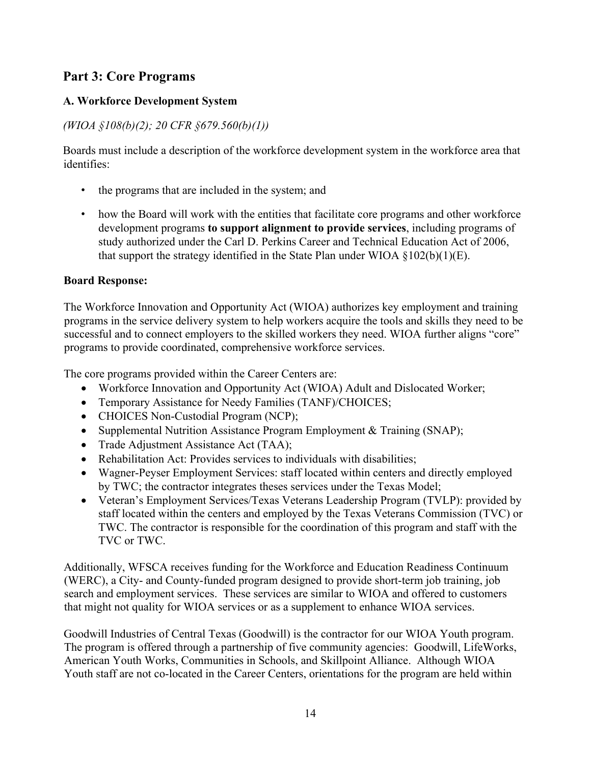# **Part 3: Core Programs**

## **A. Workforce Development System**

# *(WIOA §108(b)(2); 20 CFR §679.560(b)(1))*

Boards must include a description of the workforce development system in the workforce area that identifies:

- the programs that are included in the system; and
- how the Board will work with the entities that facilitate core programs and other workforce development programs **to support alignment to provide services**, including programs of study authorized under the Carl D. Perkins Career and Technical Education Act of 2006, that support the strategy identified in the State Plan under WIOA  $\S 102(b)(1)(E)$ .

### **Board Response:**

The Workforce Innovation and Opportunity Act (WIOA) authorizes key employment and training programs in the service delivery system to help workers acquire the tools and skills they need to be successful and to connect employers to the skilled workers they need. WIOA further aligns "core" programs to provide coordinated, comprehensive workforce services.

The core programs provided within the Career Centers are:

- Workforce Innovation and Opportunity Act (WIOA) Adult and Dislocated Worker;
- Temporary Assistance for Needy Families (TANF)/CHOICES;
- CHOICES Non-Custodial Program (NCP);
- Supplemental Nutrition Assistance Program Employment & Training (SNAP);
- Trade Adjustment Assistance Act (TAA);
- Rehabilitation Act: Provides services to individuals with disabilities;
- Wagner-Peyser Employment Services: staff located within centers and directly employed by TWC; the contractor integrates theses services under the Texas Model;
- Veteran's Employment Services/Texas Veterans Leadership Program (TVLP): provided by staff located within the centers and employed by the Texas Veterans Commission (TVC) or TWC. The contractor is responsible for the coordination of this program and staff with the TVC or TWC.

Additionally, WFSCA receives funding for the Workforce and Education Readiness Continuum (WERC), a City- and County-funded program designed to provide short-term job training, job search and employment services. These services are similar to WIOA and offered to customers that might not quality for WIOA services or as a supplement to enhance WIOA services.

Goodwill Industries of Central Texas (Goodwill) is the contractor for our WIOA Youth program. The program is offered through a partnership of five community agencies: Goodwill, LifeWorks, American Youth Works, Communities in Schools, and Skillpoint Alliance. Although WIOA Youth staff are not co-located in the Career Centers, orientations for the program are held within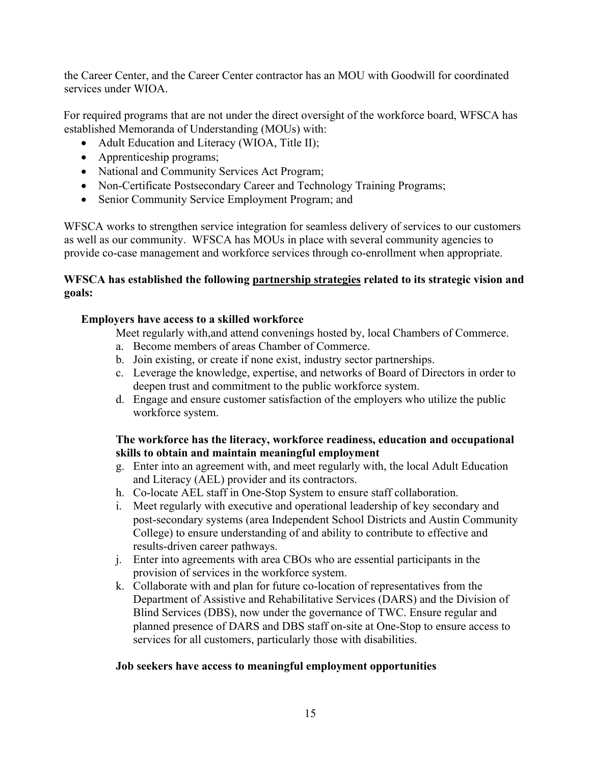the Career Center, and the Career Center contractor has an MOU with Goodwill for coordinated services under WIOA.

For required programs that are not under the direct oversight of the workforce board, WFSCA has established Memoranda of Understanding (MOUs) with:

- Adult Education and Literacy (WIOA, Title II);
- Apprenticeship programs;
- National and Community Services Act Program;
- Non-Certificate Postsecondary Career and Technology Training Programs;
- Senior Community Service Employment Program; and

WFSCA works to strengthen service integration for seamless delivery of services to our customers as well as our community. WFSCA has MOUs in place with several community agencies to provide co-case management and workforce services through co-enrollment when appropriate.

#### **WFSCA has established the following partnership strategies related to its strategic vision and goals:**

#### **Employers have access to a skilled workforce**

Meet regularly with,and attend convenings hosted by, local Chambers of Commerce.

- a. Become members of areas Chamber of Commerce.
- b. Join existing, or create if none exist, industry sector partnerships.
- c. Leverage the knowledge, expertise, and networks of Board of Directors in order to deepen trust and commitment to the public workforce system.
- d. Engage and ensure customer satisfaction of the employers who utilize the public workforce system.

#### **The workforce has the literacy, workforce readiness, education and occupational skills to obtain and maintain meaningful employment**

- g. Enter into an agreement with, and meet regularly with, the local Adult Education and Literacy (AEL) provider and its contractors.
- h. Co-locate AEL staff in One-Stop System to ensure staff collaboration.
- i. Meet regularly with executive and operational leadership of key secondary and post-secondary systems (area Independent School Districts and Austin Community College) to ensure understanding of and ability to contribute to effective and results-driven career pathways.
- j. Enter into agreements with area CBOs who are essential participants in the provision of services in the workforce system.
- k. Collaborate with and plan for future co-location of representatives from the Department of Assistive and Rehabilitative Services (DARS) and the Division of Blind Services (DBS), now under the governance of TWC. Ensure regular and planned presence of DARS and DBS staff on-site at One-Stop to ensure access to services for all customers, particularly those with disabilities.

#### **Job seekers have access to meaningful employment opportunities**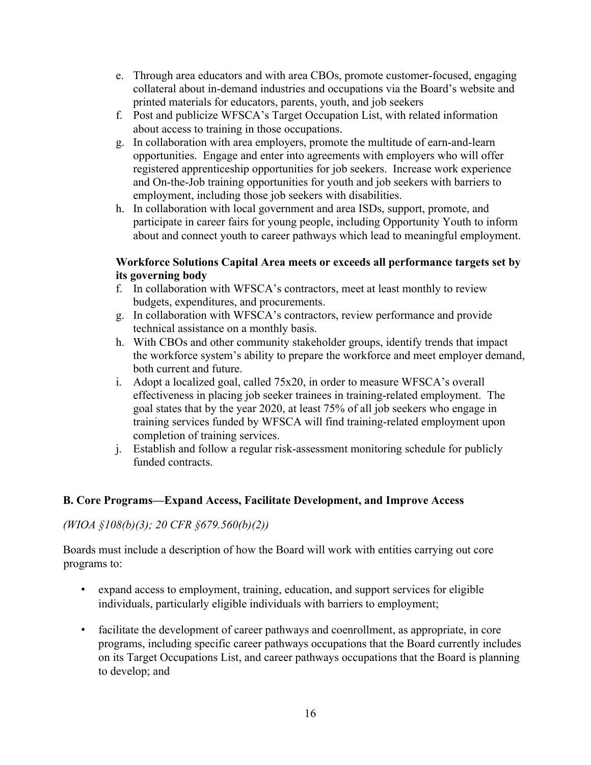- e. Through area educators and with area CBOs, promote customer-focused, engaging collateral about in-demand industries and occupations via the Board's website and printed materials for educators, parents, youth, and job seekers
- f. Post and publicize WFSCA's Target Occupation List, with related information about access to training in those occupations.
- g. In collaboration with area employers, promote the multitude of earn-and-learn opportunities. Engage and enter into agreements with employers who will offer registered apprenticeship opportunities for job seekers. Increase work experience and On-the-Job training opportunities for youth and job seekers with barriers to employment, including those job seekers with disabilities.
- h. In collaboration with local government and area ISDs, support, promote, and participate in career fairs for young people, including Opportunity Youth to inform about and connect youth to career pathways which lead to meaningful employment.

#### **Workforce Solutions Capital Area meets or exceeds all performance targets set by its governing body**

- f. In collaboration with WFSCA's contractors, meet at least monthly to review budgets, expenditures, and procurements.
- g. In collaboration with WFSCA's contractors, review performance and provide technical assistance on a monthly basis.
- h. With CBOs and other community stakeholder groups, identify trends that impact the workforce system's ability to prepare the workforce and meet employer demand, both current and future.
- i. Adopt a localized goal, called 75x20, in order to measure WFSCA's overall effectiveness in placing job seeker trainees in training-related employment. The goal states that by the year 2020, at least 75% of all job seekers who engage in training services funded by WFSCA will find training-related employment upon completion of training services.
- j. Establish and follow a regular risk-assessment monitoring schedule for publicly funded contracts.

## **B. Core Programs—Expand Access, Facilitate Development, and Improve Access**

#### *(WIOA §108(b)(3); 20 CFR §679.560(b)(2))*

Boards must include a description of how the Board will work with entities carrying out core programs to:

- expand access to employment, training, education, and support services for eligible individuals, particularly eligible individuals with barriers to employment;
- facilitate the development of career pathways and coenrollment, as appropriate, in core programs, including specific career pathways occupations that the Board currently includes on its Target Occupations List, and career pathways occupations that the Board is planning to develop; and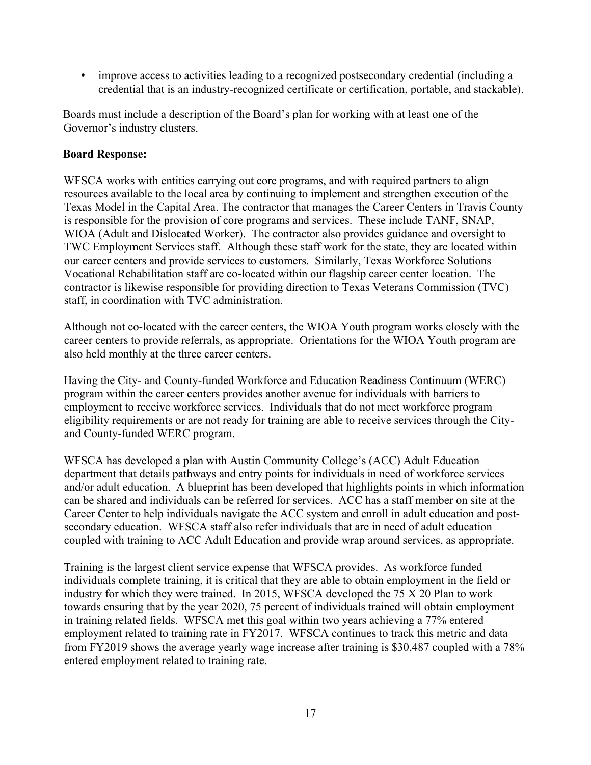• improve access to activities leading to a recognized postsecondary credential (including a credential that is an industry-recognized certificate or certification, portable, and stackable).

Boards must include a description of the Board's plan for working with at least one of the Governor's industry clusters.

#### **Board Response:**

WFSCA works with entities carrying out core programs, and with required partners to align resources available to the local area by continuing to implement and strengthen execution of the Texas Model in the Capital Area. The contractor that manages the Career Centers in Travis County is responsible for the provision of core programs and services. These include TANF, SNAP, WIOA (Adult and Dislocated Worker). The contractor also provides guidance and oversight to TWC Employment Services staff. Although these staff work for the state, they are located within our career centers and provide services to customers. Similarly, Texas Workforce Solutions Vocational Rehabilitation staff are co-located within our flagship career center location. The contractor is likewise responsible for providing direction to Texas Veterans Commission (TVC) staff, in coordination with TVC administration.

Although not co-located with the career centers, the WIOA Youth program works closely with the career centers to provide referrals, as appropriate. Orientations for the WIOA Youth program are also held monthly at the three career centers.

Having the City- and County-funded Workforce and Education Readiness Continuum (WERC) program within the career centers provides another avenue for individuals with barriers to employment to receive workforce services. Individuals that do not meet workforce program eligibility requirements or are not ready for training are able to receive services through the Cityand County-funded WERC program.

WFSCA has developed a plan with Austin Community College's (ACC) Adult Education department that details pathways and entry points for individuals in need of workforce services and/or adult education. A blueprint has been developed that highlights points in which information can be shared and individuals can be referred for services. ACC has a staff member on site at the Career Center to help individuals navigate the ACC system and enroll in adult education and postsecondary education. WFSCA staff also refer individuals that are in need of adult education coupled with training to ACC Adult Education and provide wrap around services, as appropriate.

Training is the largest client service expense that WFSCA provides. As workforce funded individuals complete training, it is critical that they are able to obtain employment in the field or industry for which they were trained. In 2015, WFSCA developed the 75 X 20 Plan to work towards ensuring that by the year 2020, 75 percent of individuals trained will obtain employment in training related fields. WFSCA met this goal within two years achieving a 77% entered employment related to training rate in FY2017. WFSCA continues to track this metric and data from FY2019 shows the average yearly wage increase after training is \$30,487 coupled with a 78% entered employment related to training rate.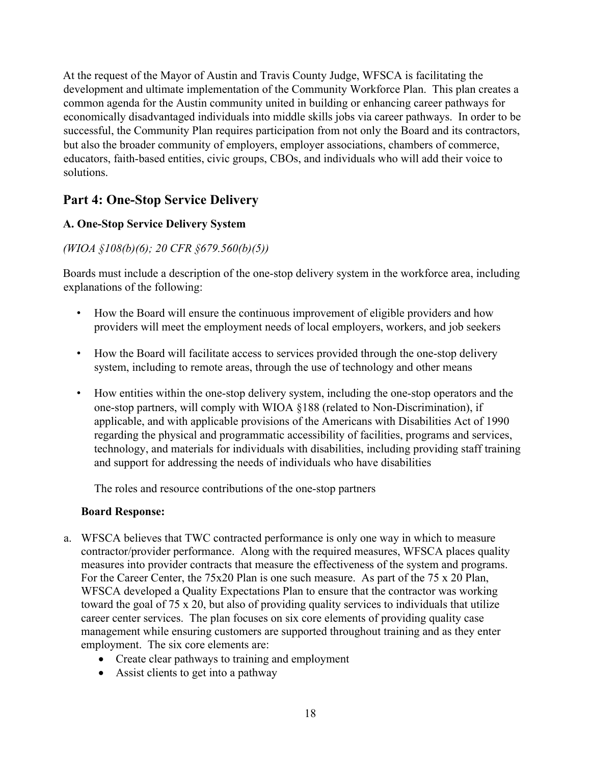At the request of the Mayor of Austin and Travis County Judge, WFSCA is facilitating the development and ultimate implementation of the Community Workforce Plan. This plan creates a common agenda for the Austin community united in building or enhancing career pathways for economically disadvantaged individuals into middle skills jobs via career pathways. In order to be successful, the Community Plan requires participation from not only the Board and its contractors, but also the broader community of employers, employer associations, chambers of commerce, educators, faith-based entities, civic groups, CBOs, and individuals who will add their voice to solutions.

# **Part 4: One-Stop Service Delivery**

## **A. One-Stop Service Delivery System**

# *(WIOA §108(b)(6); 20 CFR §679.560(b)(5))*

Boards must include a description of the one-stop delivery system in the workforce area, including explanations of the following:

- How the Board will ensure the continuous improvement of eligible providers and how providers will meet the employment needs of local employers, workers, and job seekers
- How the Board will facilitate access to services provided through the one-stop delivery system, including to remote areas, through the use of technology and other means
- How entities within the one-stop delivery system, including the one-stop operators and the one-stop partners, will comply with WIOA §188 (related to Non-Discrimination), if applicable, and with applicable provisions of the Americans with Disabilities Act of 1990 regarding the physical and programmatic accessibility of facilities, programs and services, technology, and materials for individuals with disabilities, including providing staff training and support for addressing the needs of individuals who have disabilities

The roles and resource contributions of the one-stop partners

#### **Board Response:**

- a. WFSCA believes that TWC contracted performance is only one way in which to measure contractor/provider performance. Along with the required measures, WFSCA places quality measures into provider contracts that measure the effectiveness of the system and programs. For the Career Center, the 75x20 Plan is one such measure. As part of the 75 x 20 Plan, WFSCA developed a Quality Expectations Plan to ensure that the contractor was working toward the goal of 75 x 20, but also of providing quality services to individuals that utilize career center services. The plan focuses on six core elements of providing quality case management while ensuring customers are supported throughout training and as they enter employment. The six core elements are:
	- Create clear pathways to training and employment
	- Assist clients to get into a pathway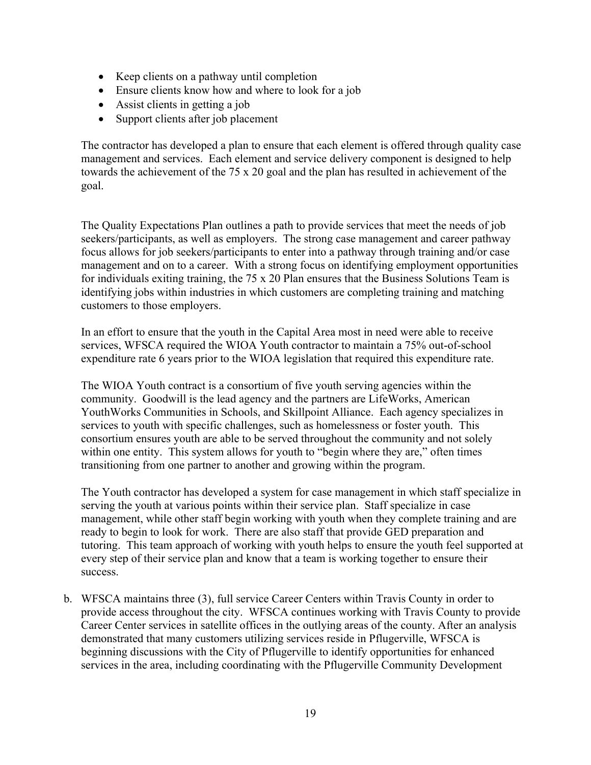- Keep clients on a pathway until completion
- Ensure clients know how and where to look for a job
- Assist clients in getting a job
- Support clients after job placement

The contractor has developed a plan to ensure that each element is offered through quality case management and services. Each element and service delivery component is designed to help towards the achievement of the 75 x 20 goal and the plan has resulted in achievement of the goal.

The Quality Expectations Plan outlines a path to provide services that meet the needs of job seekers/participants, as well as employers. The strong case management and career pathway focus allows for job seekers/participants to enter into a pathway through training and/or case management and on to a career. With a strong focus on identifying employment opportunities for individuals exiting training, the 75 x 20 Plan ensures that the Business Solutions Team is identifying jobs within industries in which customers are completing training and matching customers to those employers.

In an effort to ensure that the youth in the Capital Area most in need were able to receive services, WFSCA required the WIOA Youth contractor to maintain a 75% out-of-school expenditure rate 6 years prior to the WIOA legislation that required this expenditure rate.

The WIOA Youth contract is a consortium of five youth serving agencies within the community. Goodwill is the lead agency and the partners are LifeWorks, American YouthWorks Communities in Schools, and Skillpoint Alliance. Each agency specializes in services to youth with specific challenges, such as homelessness or foster youth. This consortium ensures youth are able to be served throughout the community and not solely within one entity. This system allows for youth to "begin where they are," often times transitioning from one partner to another and growing within the program.

The Youth contractor has developed a system for case management in which staff specialize in serving the youth at various points within their service plan. Staff specialize in case management, while other staff begin working with youth when they complete training and are ready to begin to look for work. There are also staff that provide GED preparation and tutoring. This team approach of working with youth helps to ensure the youth feel supported at every step of their service plan and know that a team is working together to ensure their success.

b. WFSCA maintains three (3), full service Career Centers within Travis County in order to provide access throughout the city. WFSCA continues working with Travis County to provide Career Center services in satellite offices in the outlying areas of the county. After an analysis demonstrated that many customers utilizing services reside in Pflugerville, WFSCA is beginning discussions with the City of Pflugerville to identify opportunities for enhanced services in the area, including coordinating with the Pflugerville Community Development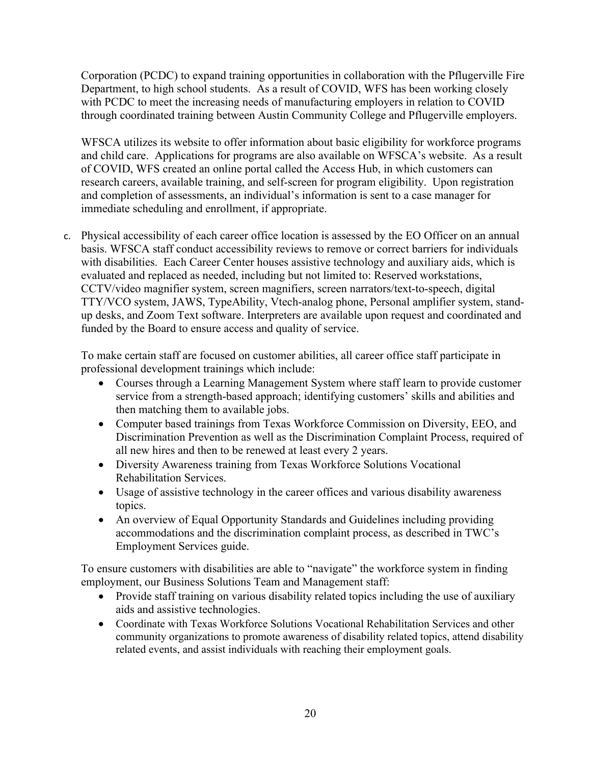Corporation (PCDC) to expand training opportunities in collaboration with the Pflugerville Fire Department, to high school students. As a result of COVID, WFS has been working closely with PCDC to meet the increasing needs of manufacturing employers in relation to COVID through coordinated training between Austin Community College and Pflugerville employers.

WFSCA utilizes its website to offer information about basic eligibility for workforce programs and child care. Applications for programs are also available on WFSCA's website. As a result of COVID, WFS created an online portal called the Access Hub, in which customers can research careers, available training, and self-screen for program eligibility. Upon registration and completion of assessments, an individual's information is sent to a case manager for immediate scheduling and enrollment, if appropriate.

c. Physical accessibility of each career office location is assessed by the EO Officer on an annual basis. WFSCA staff conduct accessibility reviews to remove or correct barriers for individuals with disabilities. Each Career Center houses assistive technology and auxiliary aids, which is evaluated and replaced as needed, including but not limited to: Reserved workstations, CCTV/video magnifier system, screen magnifiers, screen narrators/text-to-speech, digital TTY/VCO system, JAWS, TypeAbility, Vtech-analog phone, Personal amplifier system, standup desks, and Zoom Text software. Interpreters are available upon request and coordinated and funded by the Board to ensure access and quality of service.

To make certain staff are focused on customer abilities, all career office staff participate in professional development trainings which include:

- Courses through a Learning Management System where staff learn to provide customer service from a strength-based approach; identifying customers' skills and abilities and then matching them to available jobs.
- Computer based trainings from Texas Workforce Commission on Diversity, EEO, and Discrimination Prevention as well as the Discrimination Complaint Process, required of all new hires and then to be renewed at least every 2 years.
- Diversity Awareness training from Texas Workforce Solutions Vocational Rehabilitation Services.
- Usage of assistive technology in the career offices and various disability awareness topics.
- An overview of Equal Opportunity Standards and Guidelines including providing accommodations and the discrimination complaint process, as described in TWC's Employment Services guide.

To ensure customers with disabilities are able to "navigate" the workforce system in finding employment, our Business Solutions Team and Management staff:

- Provide staff training on various disability related topics including the use of auxiliary aids and assistive technologies.
- Coordinate with Texas Workforce Solutions Vocational Rehabilitation Services and other community organizations to promote awareness of disability related topics, attend disability related events, and assist individuals with reaching their employment goals.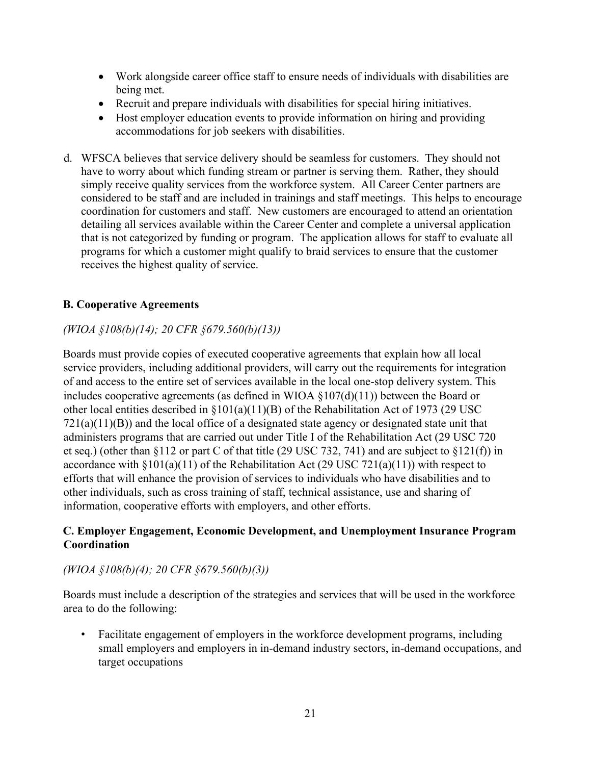- Work alongside career office staff to ensure needs of individuals with disabilities are being met.
- Recruit and prepare individuals with disabilities for special hiring initiatives.
- Host employer education events to provide information on hiring and providing accommodations for job seekers with disabilities.
- d. WFSCA believes that service delivery should be seamless for customers. They should not have to worry about which funding stream or partner is serving them. Rather, they should simply receive quality services from the workforce system. All Career Center partners are considered to be staff and are included in trainings and staff meetings. This helps to encourage coordination for customers and staff. New customers are encouraged to attend an orientation detailing all services available within the Career Center and complete a universal application that is not categorized by funding or program. The application allows for staff to evaluate all programs for which a customer might qualify to braid services to ensure that the customer receives the highest quality of service.

### **B. Cooperative Agreements**

### *(WIOA §108(b)(14); 20 CFR §679.560(b)(13))*

Boards must provide copies of executed cooperative agreements that explain how all local service providers, including additional providers, will carry out the requirements for integration of and access to the entire set of services available in the local one-stop delivery system. This includes cooperative agreements (as defined in WIOA  $\S107(d)(11)$ ) between the Board or other local entities described in §101(a)(11)(B) of the Rehabilitation Act of 1973 (29 USC  $721(a)(11)(B)$ ) and the local office of a designated state agency or designated state unit that administers programs that are carried out under Title I of the Rehabilitation Act (29 USC 720 et seq.) (other than §112 or part C of that title (29 USC 732, 741) and are subject to §121(f)) in accordance with  $\S 101(a)(11)$  of the Rehabilitation Act (29 USC 721(a)(11)) with respect to efforts that will enhance the provision of services to individuals who have disabilities and to other individuals, such as cross training of staff, technical assistance, use and sharing of information, cooperative efforts with employers, and other efforts.

#### **C. Employer Engagement, Economic Development, and Unemployment Insurance Program Coordination**

#### *(WIOA §108(b)(4); 20 CFR §679.560(b)(3))*

Boards must include a description of the strategies and services that will be used in the workforce area to do the following:

• Facilitate engagement of employers in the workforce development programs, including small employers and employers in in-demand industry sectors, in-demand occupations, and target occupations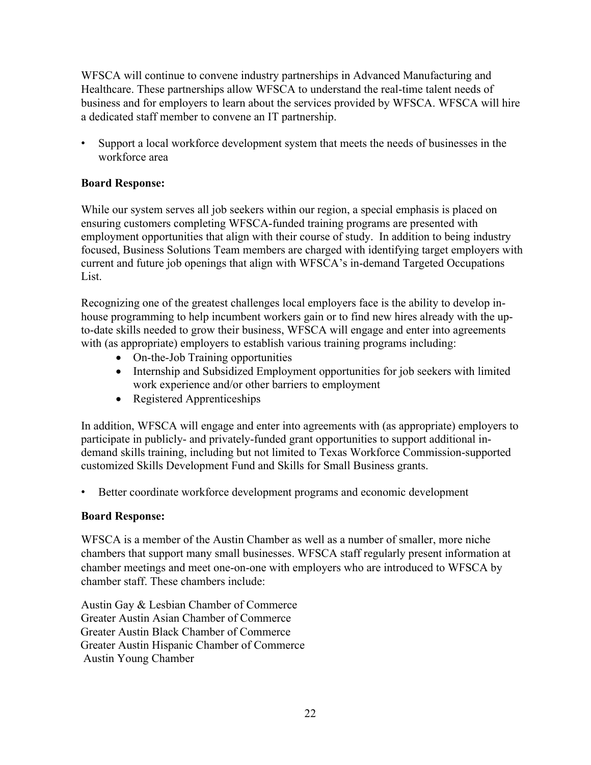WFSCA will continue to convene industry partnerships in Advanced Manufacturing and Healthcare. These partnerships allow WFSCA to understand the real-time talent needs of business and for employers to learn about the services provided by WFSCA. WFSCA will hire a dedicated staff member to convene an IT partnership.

• Support a local workforce development system that meets the needs of businesses in the workforce area

#### **Board Response:**

While our system serves all job seekers within our region, a special emphasis is placed on ensuring customers completing WFSCA-funded training programs are presented with employment opportunities that align with their course of study. In addition to being industry focused, Business Solutions Team members are charged with identifying target employers with current and future job openings that align with WFSCA's in-demand Targeted Occupations List.

Recognizing one of the greatest challenges local employers face is the ability to develop inhouse programming to help incumbent workers gain or to find new hires already with the upto-date skills needed to grow their business, WFSCA will engage and enter into agreements with (as appropriate) employers to establish various training programs including:

- On-the-Job Training opportunities
- Internship and Subsidized Employment opportunities for job seekers with limited work experience and/or other barriers to employment
- Registered Apprenticeships

In addition, WFSCA will engage and enter into agreements with (as appropriate) employers to participate in publicly- and privately-funded grant opportunities to support additional indemand skills training, including but not limited to Texas Workforce Commission-supported customized Skills Development Fund and Skills for Small Business grants.

• Better coordinate workforce development programs and economic development

#### **Board Response:**

WFSCA is a member of the Austin Chamber as well as a number of smaller, more niche chambers that support many small businesses. WFSCA staff regularly present information at chamber meetings and meet one-on-one with employers who are introduced to WFSCA by chamber staff. These chambers include:

Austin Gay & Lesbian Chamber of Commerce Greater Austin Asian Chamber of Commerce Greater Austin Black Chamber of Commerce Greater Austin Hispanic Chamber of Commerce Austin Young Chamber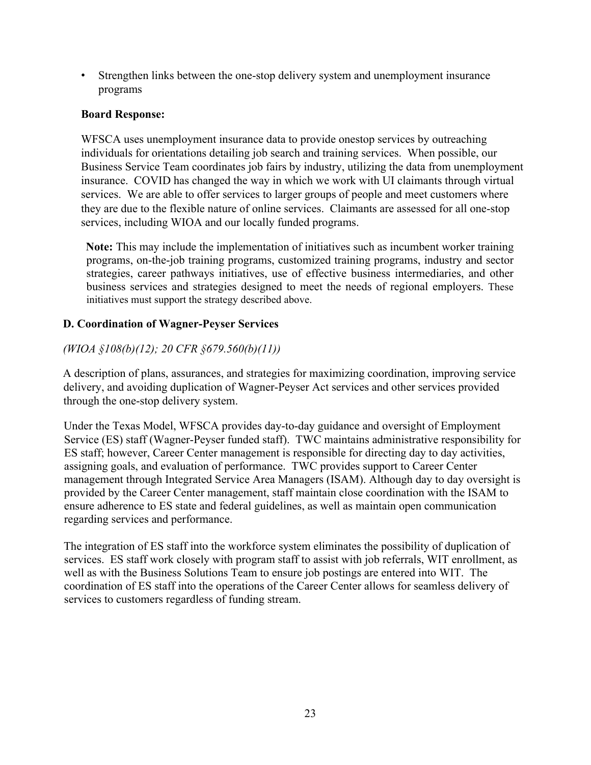• Strengthen links between the one-stop delivery system and unemployment insurance programs

### **Board Response:**

WFSCA uses unemployment insurance data to provide onestop services by outreaching individuals for orientations detailing job search and training services. When possible, our Business Service Team coordinates job fairs by industry, utilizing the data from unemployment insurance. COVID has changed the way in which we work with UI claimants through virtual services. We are able to offer services to larger groups of people and meet customers where they are due to the flexible nature of online services. Claimants are assessed for all one-stop services, including WIOA and our locally funded programs.

**Note:** This may include the implementation of initiatives such as incumbent worker training programs, on-the-job training programs, customized training programs, industry and sector strategies, career pathways initiatives, use of effective business intermediaries, and other business services and strategies designed to meet the needs of regional employers. These initiatives must support the strategy described above.

## **D. Coordination of Wagner-Peyser Services**

# *(WIOA §108(b)(12); 20 CFR §679.560(b)(11))*

A description of plans, assurances, and strategies for maximizing coordination, improving service delivery, and avoiding duplication of Wagner-Peyser Act services and other services provided through the one-stop delivery system.

Under the Texas Model, WFSCA provides day-to-day guidance and oversight of Employment Service (ES) staff (Wagner-Peyser funded staff). TWC maintains administrative responsibility for ES staff; however, Career Center management is responsible for directing day to day activities, assigning goals, and evaluation of performance. TWC provides support to Career Center management through Integrated Service Area Managers (ISAM). Although day to day oversight is provided by the Career Center management, staff maintain close coordination with the ISAM to ensure adherence to ES state and federal guidelines, as well as maintain open communication regarding services and performance.

The integration of ES staff into the workforce system eliminates the possibility of duplication of services. ES staff work closely with program staff to assist with job referrals, WIT enrollment, as well as with the Business Solutions Team to ensure job postings are entered into WIT. The coordination of ES staff into the operations of the Career Center allows for seamless delivery of services to customers regardless of funding stream.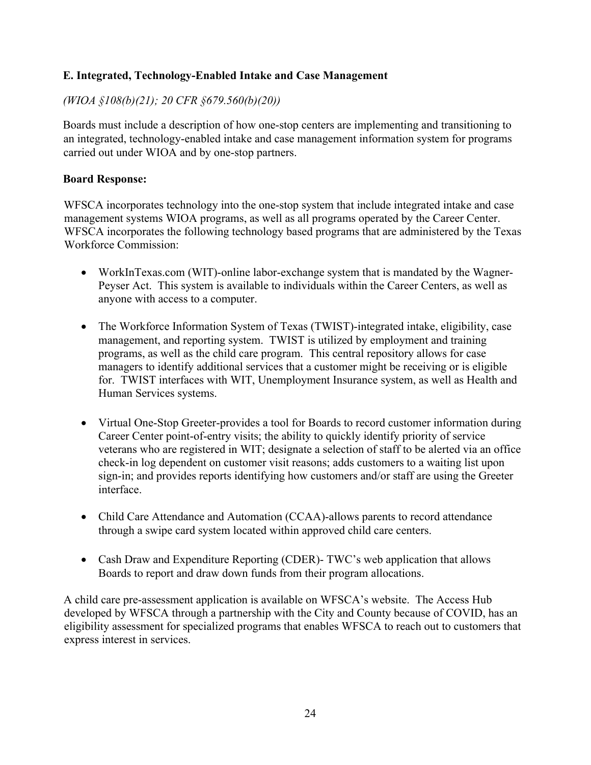### **E. Integrated, Technology-Enabled Intake and Case Management**

#### *(WIOA §108(b)(21); 20 CFR §679.560(b)(20))*

Boards must include a description of how one-stop centers are implementing and transitioning to an integrated, technology-enabled intake and case management information system for programs carried out under WIOA and by one-stop partners.

#### **Board Response:**

WFSCA incorporates technology into the one-stop system that include integrated intake and case management systems WIOA programs, as well as all programs operated by the Career Center. WFSCA incorporates the following technology based programs that are administered by the Texas Workforce Commission:

- WorkInTexas.com (WIT)-online labor-exchange system that is mandated by the Wagner-Peyser Act. This system is available to individuals within the Career Centers, as well as anyone with access to a computer.
- The Workforce Information System of Texas (TWIST)-integrated intake, eligibility, case management, and reporting system. TWIST is utilized by employment and training programs, as well as the child care program. This central repository allows for case managers to identify additional services that a customer might be receiving or is eligible for. TWIST interfaces with WIT, Unemployment Insurance system, as well as Health and Human Services systems.
- Virtual One-Stop Greeter-provides a tool for Boards to record customer information during Career Center point-of-entry visits; the ability to quickly identify priority of service veterans who are registered in WIT; designate a selection of staff to be alerted via an office check-in log dependent on customer visit reasons; adds customers to a waiting list upon sign-in; and provides reports identifying how customers and/or staff are using the Greeter interface.
- Child Care Attendance and Automation (CCAA)-allows parents to record attendance through a swipe card system located within approved child care centers.
- Cash Draw and Expenditure Reporting (CDER)- TWC's web application that allows Boards to report and draw down funds from their program allocations.

A child care pre-assessment application is available on WFSCA's website. The Access Hub developed by WFSCA through a partnership with the City and County because of COVID, has an eligibility assessment for specialized programs that enables WFSCA to reach out to customers that express interest in services.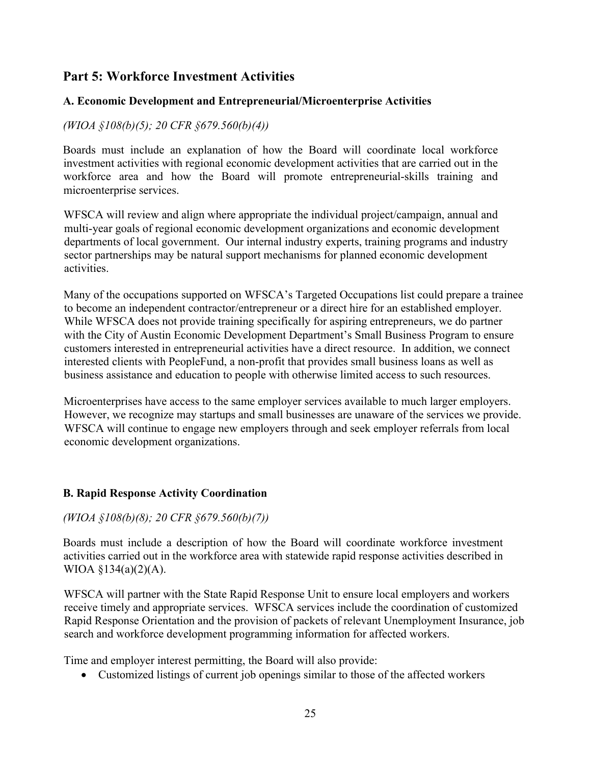# **Part 5: Workforce Investment Activities**

### **A. Economic Development and Entrepreneurial/Microenterprise Activities**

### *(WIOA §108(b)(5); 20 CFR §679.560(b)(4))*

Boards must include an explanation of how the Board will coordinate local workforce investment activities with regional economic development activities that are carried out in the workforce area and how the Board will promote entrepreneurial-skills training and microenterprise services.

WFSCA will review and align where appropriate the individual project/campaign, annual and multi-year goals of regional economic development organizations and economic development departments of local government. Our internal industry experts, training programs and industry sector partnerships may be natural support mechanisms for planned economic development activities.

Many of the occupations supported on WFSCA's Targeted Occupations list could prepare a trainee to become an independent contractor/entrepreneur or a direct hire for an established employer. While WFSCA does not provide training specifically for aspiring entrepreneurs, we do partner with the City of Austin Economic Development Department's Small Business Program to ensure customers interested in entrepreneurial activities have a direct resource. In addition, we connect interested clients with PeopleFund, a non-profit that provides small business loans as well as business assistance and education to people with otherwise limited access to such resources.

Microenterprises have access to the same employer services available to much larger employers. However, we recognize may startups and small businesses are unaware of the services we provide. WFSCA will continue to engage new employers through and seek employer referrals from local economic development organizations.

#### **B. Rapid Response Activity Coordination**

#### *(WIOA §108(b)(8); 20 CFR §679.560(b)(7))*

Boards must include a description of how the Board will coordinate workforce investment activities carried out in the workforce area with statewide rapid response activities described in WIOA  $$134(a)(2)(A)$ .

WFSCA will partner with the State Rapid Response Unit to ensure local employers and workers receive timely and appropriate services. WFSCA services include the coordination of customized Rapid Response Orientation and the provision of packets of relevant Unemployment Insurance, job search and workforce development programming information for affected workers.

Time and employer interest permitting, the Board will also provide:

Customized listings of current job openings similar to those of the affected workers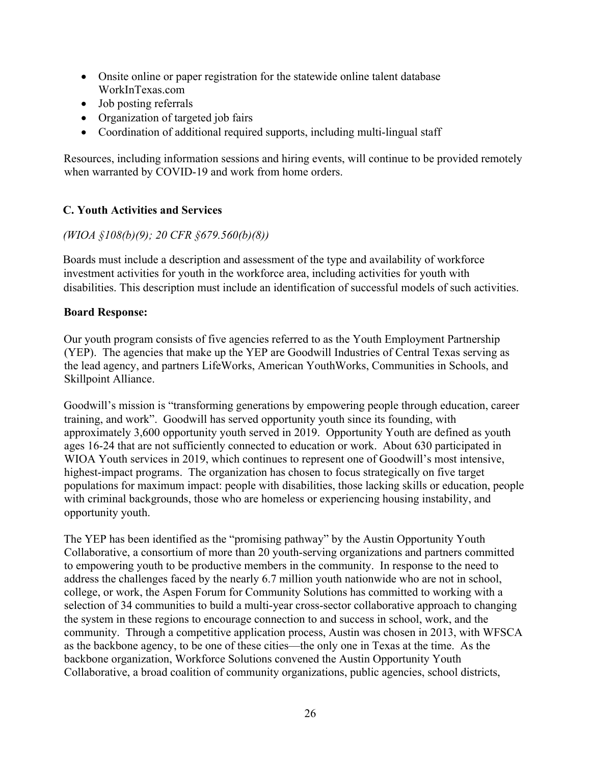- Onsite online or paper registration for the statewide online talent database WorkInTexas.com
- Job posting referrals
- Organization of targeted job fairs
- Coordination of additional required supports, including multi-lingual staff

Resources, including information sessions and hiring events, will continue to be provided remotely when warranted by COVID-19 and work from home orders.

### **C. Youth Activities and Services**

#### *(WIOA §108(b)(9); 20 CFR §679.560(b)(8))*

Boards must include a description and assessment of the type and availability of workforce investment activities for youth in the workforce area, including activities for youth with disabilities. This description must include an identification of successful models of such activities.

#### **Board Response:**

Our youth program consists of five agencies referred to as the Youth Employment Partnership (YEP). The agencies that make up the YEP are Goodwill Industries of Central Texas serving as the lead agency, and partners LifeWorks, American YouthWorks, Communities in Schools, and Skillpoint Alliance.

Goodwill's mission is "transforming generations by empowering people through education, career training, and work". Goodwill has served opportunity youth since its founding, with approximately 3,600 opportunity youth served in 2019. Opportunity Youth are defined as youth ages 16-24 that are not sufficiently connected to education or work. About 630 participated in WIOA Youth services in 2019, which continues to represent one of Goodwill's most intensive, highest-impact programs. The organization has chosen to focus strategically on five target populations for maximum impact: people with disabilities, those lacking skills or education, people with criminal backgrounds, those who are homeless or experiencing housing instability, and opportunity youth.

The YEP has been identified as the "promising pathway" by the Austin Opportunity Youth Collaborative, a consortium of more than 20 youth-serving organizations and partners committed to empowering youth to be productive members in the community. In response to the need to address the challenges faced by the nearly 6.7 million youth nationwide who are not in school, college, or work, the Aspen Forum for Community Solutions has committed to working with a selection of 34 communities to build a multi-year cross-sector collaborative approach to changing the system in these regions to encourage connection to and success in school, work, and the community. Through a competitive application process, Austin was chosen in 2013, with WFSCA as the backbone agency, to be one of these cities—the only one in Texas at the time. As the backbone organization, Workforce Solutions convened the Austin Opportunity Youth Collaborative, a broad coalition of community organizations, public agencies, school districts,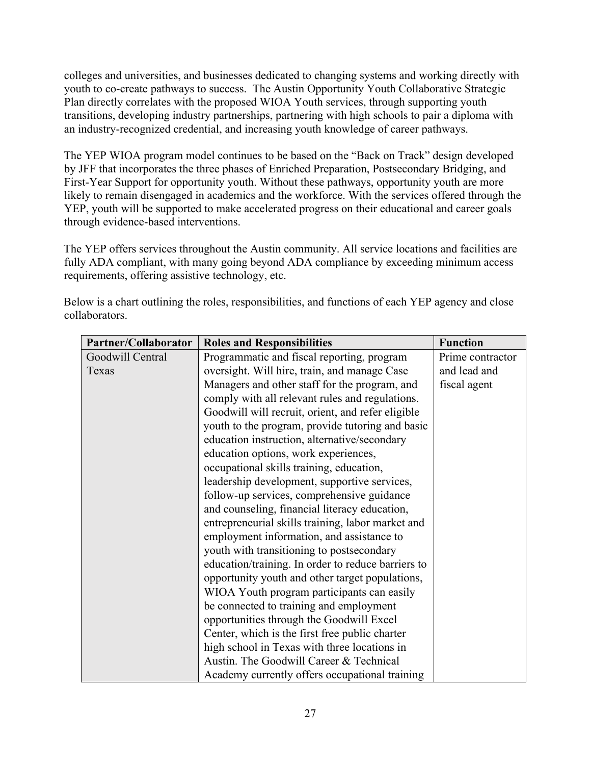colleges and universities, and businesses dedicated to changing systems and working directly with youth to co-create pathways to success. The Austin Opportunity Youth Collaborative Strategic Plan directly correlates with the proposed WIOA Youth services, through supporting youth transitions, developing industry partnerships, partnering with high schools to pair a diploma with an industry-recognized credential, and increasing youth knowledge of career pathways.

The YEP WIOA program model continues to be based on the "Back on Track" design developed by JFF that incorporates the three phases of Enriched Preparation, Postsecondary Bridging, and First-Year Support for opportunity youth. Without these pathways, opportunity youth are more likely to remain disengaged in academics and the workforce. With the services offered through the YEP, youth will be supported to make accelerated progress on their educational and career goals through evidence-based interventions.

The YEP offers services throughout the Austin community. All service locations and facilities are fully ADA compliant, with many going beyond ADA compliance by exceeding minimum access requirements, offering assistive technology, etc.

| Partner/Collaborator | <b>Roles and Responsibilities</b>                  | <b>Function</b>  |
|----------------------|----------------------------------------------------|------------------|
| Goodwill Central     | Programmatic and fiscal reporting, program         | Prime contractor |
| Texas                | oversight. Will hire, train, and manage Case       | and lead and     |
|                      | Managers and other staff for the program, and      | fiscal agent     |
|                      | comply with all relevant rules and regulations.    |                  |
|                      | Goodwill will recruit, orient, and refer eligible  |                  |
|                      | youth to the program, provide tutoring and basic   |                  |
|                      | education instruction, alternative/secondary       |                  |
|                      | education options, work experiences,               |                  |
|                      | occupational skills training, education,           |                  |
|                      | leadership development, supportive services,       |                  |
|                      | follow-up services, comprehensive guidance         |                  |
|                      | and counseling, financial literacy education,      |                  |
|                      | entrepreneurial skills training, labor market and  |                  |
|                      | employment information, and assistance to          |                  |
|                      | youth with transitioning to postsecondary          |                  |
|                      | education/training. In order to reduce barriers to |                  |
|                      | opportunity youth and other target populations,    |                  |
|                      | WIOA Youth program participants can easily         |                  |
|                      | be connected to training and employment            |                  |
|                      | opportunities through the Goodwill Excel           |                  |
|                      | Center, which is the first free public charter     |                  |
|                      | high school in Texas with three locations in       |                  |
|                      | Austin. The Goodwill Career & Technical            |                  |
|                      | Academy currently offers occupational training     |                  |

Below is a chart outlining the roles, responsibilities, and functions of each YEP agency and close collaborators.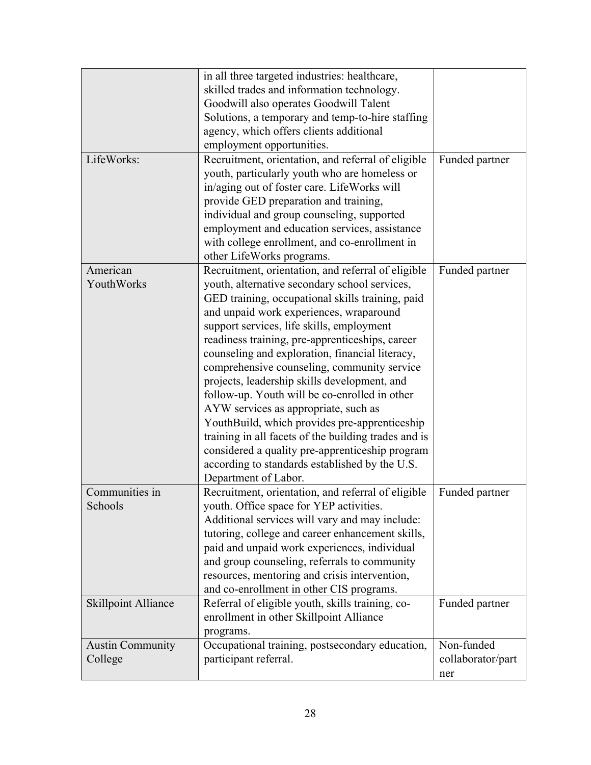|                            | in all three targeted industries: healthcare,        |                   |
|----------------------------|------------------------------------------------------|-------------------|
|                            | skilled trades and information technology.           |                   |
|                            | Goodwill also operates Goodwill Talent               |                   |
|                            | Solutions, a temporary and temp-to-hire staffing     |                   |
|                            |                                                      |                   |
|                            | agency, which offers clients additional              |                   |
|                            | employment opportunities.                            |                   |
| LifeWorks:                 | Recruitment, orientation, and referral of eligible   | Funded partner    |
|                            | youth, particularly youth who are homeless or        |                   |
|                            | in/aging out of foster care. LifeWorks will          |                   |
|                            | provide GED preparation and training,                |                   |
|                            | individual and group counseling, supported           |                   |
|                            | employment and education services, assistance        |                   |
|                            | with college enrollment, and co-enrollment in        |                   |
|                            | other LifeWorks programs.                            |                   |
| American                   | Recruitment, orientation, and referral of eligible   | Funded partner    |
| YouthWorks                 | youth, alternative secondary school services,        |                   |
|                            | GED training, occupational skills training, paid     |                   |
|                            | and unpaid work experiences, wraparound              |                   |
|                            | support services, life skills, employment            |                   |
|                            |                                                      |                   |
|                            | readiness training, pre-apprenticeships, career      |                   |
|                            | counseling and exploration, financial literacy,      |                   |
|                            | comprehensive counseling, community service          |                   |
|                            | projects, leadership skills development, and         |                   |
|                            | follow-up. Youth will be co-enrolled in other        |                   |
|                            | AYW services as appropriate, such as                 |                   |
|                            | YouthBuild, which provides pre-apprenticeship        |                   |
|                            | training in all facets of the building trades and is |                   |
|                            | considered a quality pre-apprenticeship program      |                   |
|                            | according to standards established by the U.S.       |                   |
|                            | Department of Labor.                                 |                   |
| Communities in             | Recruitment, orientation, and referral of eligible   | Funded partner    |
| Schools                    | youth. Office space for YEP activities.              |                   |
|                            | Additional services will vary and may include:       |                   |
|                            | tutoring, college and career enhancement skills,     |                   |
|                            | paid and unpaid work experiences, individual         |                   |
|                            |                                                      |                   |
|                            | and group counseling, referrals to community         |                   |
|                            | resources, mentoring and crisis intervention,        |                   |
|                            | and co-enrollment in other CIS programs.             |                   |
| <b>Skillpoint Alliance</b> | Referral of eligible youth, skills training, co-     | Funded partner    |
|                            | enrollment in other Skillpoint Alliance              |                   |
|                            | programs.                                            |                   |
| <b>Austin Community</b>    | Occupational training, postsecondary education,      | Non-funded        |
| College                    | participant referral.                                | collaborator/part |
|                            |                                                      | ner               |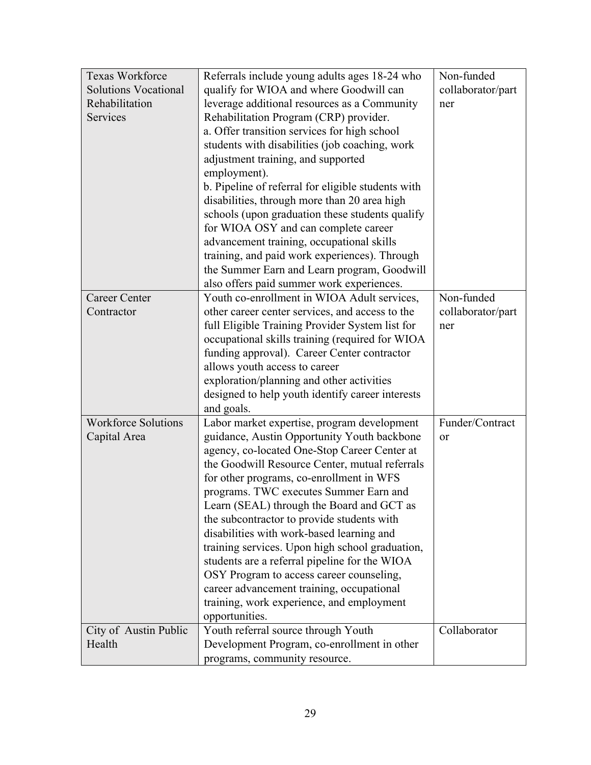| Texas Workforce             | Referrals include young adults ages 18-24 who      | Non-funded        |
|-----------------------------|----------------------------------------------------|-------------------|
| <b>Solutions Vocational</b> | qualify for WIOA and where Goodwill can            | collaborator/part |
| Rehabilitation              | leverage additional resources as a Community       | ner               |
| Services                    | Rehabilitation Program (CRP) provider.             |                   |
|                             | a. Offer transition services for high school       |                   |
|                             | students with disabilities (job coaching, work     |                   |
|                             | adjustment training, and supported                 |                   |
|                             | employment).                                       |                   |
|                             | b. Pipeline of referral for eligible students with |                   |
|                             | disabilities, through more than 20 area high       |                   |
|                             | schools (upon graduation these students qualify    |                   |
|                             | for WIOA OSY and can complete career               |                   |
|                             | advancement training, occupational skills          |                   |
|                             | training, and paid work experiences). Through      |                   |
|                             | the Summer Earn and Learn program, Goodwill        |                   |
|                             | also offers paid summer work experiences.          |                   |
| <b>Career Center</b>        | Youth co-enrollment in WIOA Adult services,        | Non-funded        |
| Contractor                  | other career center services, and access to the    | collaborator/part |
|                             | full Eligible Training Provider System list for    | ner               |
|                             | occupational skills training (required for WIOA    |                   |
|                             | funding approval). Career Center contractor        |                   |
|                             | allows youth access to career                      |                   |
|                             | exploration/planning and other activities          |                   |
|                             | designed to help youth identify career interests   |                   |
|                             | and goals.                                         |                   |
| <b>Workforce Solutions</b>  | Labor market expertise, program development        | Funder/Contract   |
| Capital Area                | guidance, Austin Opportunity Youth backbone        | <sub>or</sub>     |
|                             | agency, co-located One-Stop Career Center at       |                   |
|                             | the Goodwill Resource Center, mutual referrals     |                   |
|                             | for other programs, co-enrollment in WFS           |                   |
|                             | programs. TWC executes Summer Earn and             |                   |
|                             | Learn (SEAL) through the Board and GCT as          |                   |
|                             | the subcontractor to provide students with         |                   |
|                             | disabilities with work-based learning and          |                   |
|                             | training services. Upon high school graduation,    |                   |
|                             | students are a referral pipeline for the WIOA      |                   |
|                             | OSY Program to access career counseling,           |                   |
|                             | career advancement training, occupational          |                   |
|                             | training, work experience, and employment          |                   |
|                             | opportunities.                                     |                   |
| City of Austin Public       | Youth referral source through Youth                | Collaborator      |
| Health                      | Development Program, co-enrollment in other        |                   |
|                             | programs, community resource.                      |                   |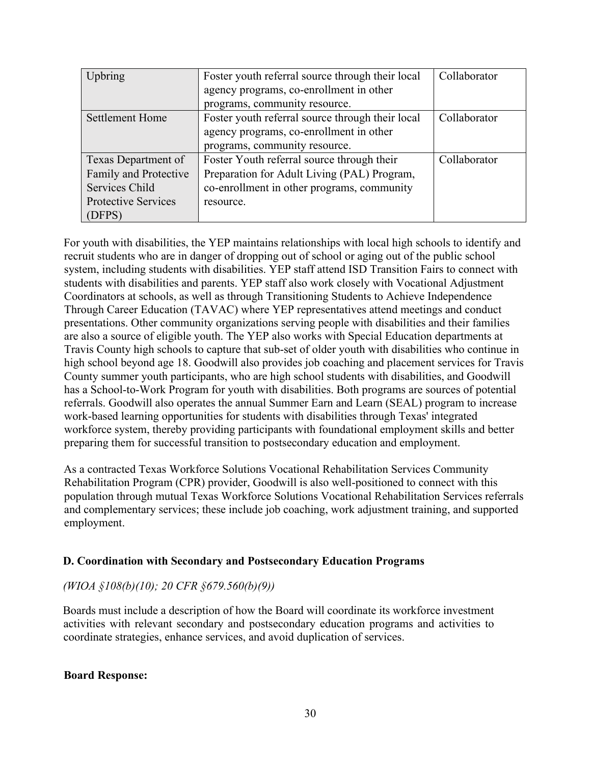| Upbring               | Foster youth referral source through their local | Collaborator |
|-----------------------|--------------------------------------------------|--------------|
|                       | agency programs, co-enrollment in other          |              |
|                       | programs, community resource.                    |              |
| Settlement Home       | Foster youth referral source through their local | Collaborator |
|                       | agency programs, co-enrollment in other          |              |
|                       | programs, community resource.                    |              |
| Texas Department of   | Foster Youth referral source through their       | Collaborator |
| Family and Protective | Preparation for Adult Living (PAL) Program,      |              |
| Services Child        | co-enrollment in other programs, community       |              |
| Protective Services   | resource.                                        |              |
| (DFPS)                |                                                  |              |

For youth with disabilities, the YEP maintains relationships with local high schools to identify and recruit students who are in danger of dropping out of school or aging out of the public school system, including students with disabilities. YEP staff attend ISD Transition Fairs to connect with students with disabilities and parents. YEP staff also work closely with Vocational Adjustment Coordinators at schools, as well as through Transitioning Students to Achieve Independence Through Career Education (TAVAC) where YEP representatives attend meetings and conduct presentations. Other community organizations serving people with disabilities and their families are also a source of eligible youth. The YEP also works with Special Education departments at Travis County high schools to capture that sub-set of older youth with disabilities who continue in high school beyond age 18. Goodwill also provides job coaching and placement services for Travis County summer youth participants, who are high school students with disabilities, and Goodwill has a School-to-Work Program for youth with disabilities. Both programs are sources of potential referrals. Goodwill also operates the annual Summer Earn and Learn (SEAL) program to increase work-based learning opportunities for students with disabilities through Texas' integrated workforce system, thereby providing participants with foundational employment skills and better preparing them for successful transition to postsecondary education and employment.

As a contracted Texas Workforce Solutions Vocational Rehabilitation Services Community Rehabilitation Program (CPR) provider, Goodwill is also well-positioned to connect with this population through mutual Texas Workforce Solutions Vocational Rehabilitation Services referrals and complementary services; these include job coaching, work adjustment training, and supported employment.

#### **D. Coordination with Secondary and Postsecondary Education Programs**

#### *(WIOA §108(b)(10); 20 CFR §679.560(b)(9))*

Boards must include a description of how the Board will coordinate its workforce investment activities with relevant secondary and postsecondary education programs and activities to coordinate strategies, enhance services, and avoid duplication of services.

#### **Board Response:**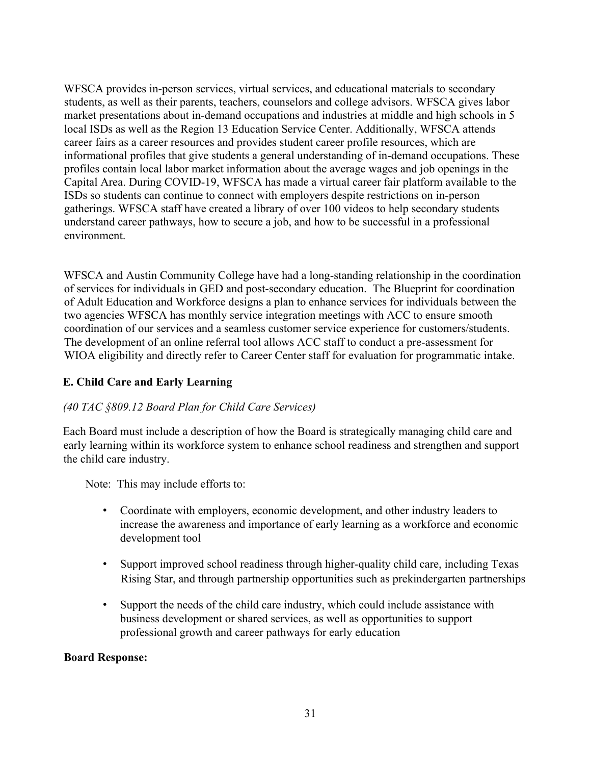WFSCA provides in-person services, virtual services, and educational materials to secondary students, as well as their parents, teachers, counselors and college advisors. WFSCA gives labor market presentations about in-demand occupations and industries at middle and high schools in 5 local ISDs as well as the Region 13 Education Service Center. Additionally, WFSCA attends career fairs as a career resources and provides student career profile resources, which are informational profiles that give students a general understanding of in-demand occupations. These profiles contain local labor market information about the average wages and job openings in the Capital Area. During COVID-19, WFSCA has made a virtual career fair platform available to the ISDs so students can continue to connect with employers despite restrictions on in-person gatherings. WFSCA staff have created a library of over 100 videos to help secondary students understand career pathways, how to secure a job, and how to be successful in a professional environment.

WFSCA and Austin Community College have had a long-standing relationship in the coordination of services for individuals in GED and post-secondary education. The Blueprint for coordination of Adult Education and Workforce designs a plan to enhance services for individuals between the two agencies WFSCA has monthly service integration meetings with ACC to ensure smooth coordination of our services and a seamless customer service experience for customers/students. The development of an online referral tool allows ACC staff to conduct a pre-assessment for WIOA eligibility and directly refer to Career Center staff for evaluation for programmatic intake.

### **E. Child Care and Early Learning**

#### *(40 TAC §809.12 Board Plan for Child Care Services)*

Each Board must include a description of how the Board is strategically managing child care and early learning within its workforce system to enhance school readiness and strengthen and support the child care industry.

Note: This may include efforts to:

- Coordinate with employers, economic development, and other industry leaders to increase the awareness and importance of early learning as a workforce and economic development tool
- Support improved school readiness through higher-quality child care, including Texas Rising Star, and through partnership opportunities such as prekindergarten partnerships
- Support the needs of the child care industry, which could include assistance with business development or shared services, as well as opportunities to support professional growth and career pathways for early education

#### **Board Response:**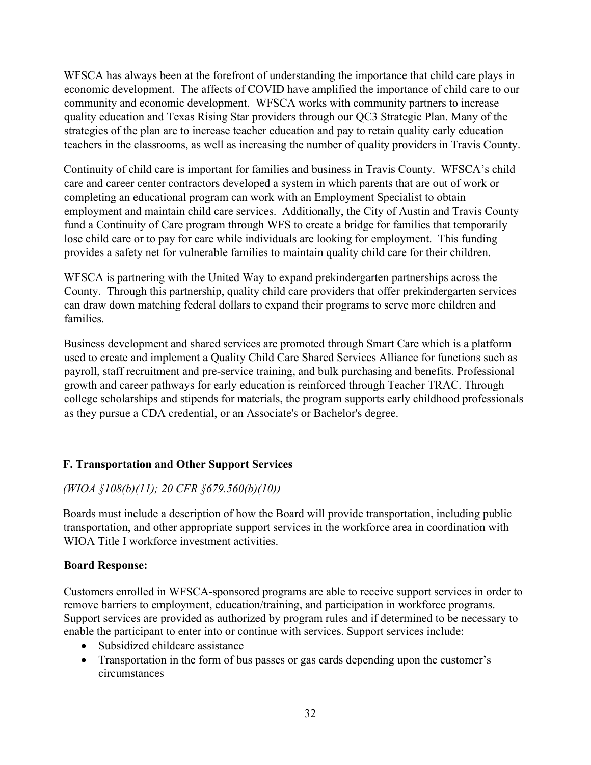WFSCA has always been at the forefront of understanding the importance that child care plays in economic development. The affects of COVID have amplified the importance of child care to our community and economic development. WFSCA works with community partners to increase quality education and Texas Rising Star providers through our QC3 Strategic Plan. Many of the strategies of the plan are to increase teacher education and pay to retain quality early education teachers in the classrooms, as well as increasing the number of quality providers in Travis County.

Continuity of child care is important for families and business in Travis County. WFSCA's child care and career center contractors developed a system in which parents that are out of work or completing an educational program can work with an Employment Specialist to obtain employment and maintain child care services. Additionally, the City of Austin and Travis County fund a Continuity of Care program through WFS to create a bridge for families that temporarily lose child care or to pay for care while individuals are looking for employment. This funding provides a safety net for vulnerable families to maintain quality child care for their children.

WFSCA is partnering with the United Way to expand prekindergarten partnerships across the County. Through this partnership, quality child care providers that offer prekindergarten services can draw down matching federal dollars to expand their programs to serve more children and families.

Business development and shared services are promoted through Smart Care which is a platform used to create and implement a Quality Child Care Shared Services Alliance for functions such as payroll, staff recruitment and pre-service training, and bulk purchasing and benefits. Professional growth and career pathways for early education is reinforced through Teacher TRAC. Through college scholarships and stipends for materials, the program supports early childhood professionals as they pursue a CDA credential, or an Associate's or Bachelor's degree.

## **F. Transportation and Other Support Services**

## *(WIOA §108(b)(11); 20 CFR §679.560(b)(10))*

Boards must include a description of how the Board will provide transportation, including public transportation, and other appropriate support services in the workforce area in coordination with WIOA Title I workforce investment activities.

#### **Board Response:**

Customers enrolled in WFSCA-sponsored programs are able to receive support services in order to remove barriers to employment, education/training, and participation in workforce programs. Support services are provided as authorized by program rules and if determined to be necessary to enable the participant to enter into or continue with services. Support services include:

- Subsidized childcare assistance
- Transportation in the form of bus passes or gas cards depending upon the customer's circumstances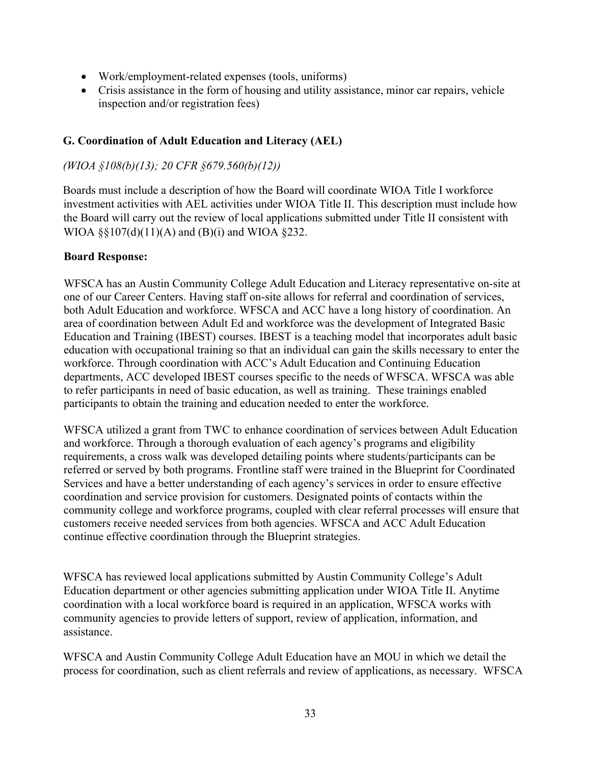- Work/employment-related expenses (tools, uniforms)
- Crisis assistance in the form of housing and utility assistance, minor car repairs, vehicle inspection and/or registration fees)

### **G. Coordination of Adult Education and Literacy (AEL)**

### *(WIOA §108(b)(13); 20 CFR §679.560(b)(12))*

Boards must include a description of how the Board will coordinate WIOA Title I workforce investment activities with AEL activities under WIOA Title II. This description must include how the Board will carry out the review of local applications submitted under Title II consistent with WIOA §§107(d)(11)(A) and (B)(i) and WIOA §232.

#### **Board Response:**

WFSCA has an Austin Community College Adult Education and Literacy representative on-site at one of our Career Centers. Having staff on-site allows for referral and coordination of services, both Adult Education and workforce. WFSCA and ACC have a long history of coordination. An area of coordination between Adult Ed and workforce was the development of Integrated Basic Education and Training (IBEST) courses. IBEST is a teaching model that incorporates adult basic education with occupational training so that an individual can gain the skills necessary to enter the workforce. Through coordination with ACC's Adult Education and Continuing Education departments, ACC developed IBEST courses specific to the needs of WFSCA. WFSCA was able to refer participants in need of basic education, as well as training. These trainings enabled participants to obtain the training and education needed to enter the workforce.

WFSCA utilized a grant from TWC to enhance coordination of services between Adult Education and workforce. Through a thorough evaluation of each agency's programs and eligibility requirements, a cross walk was developed detailing points where students/participants can be referred or served by both programs. Frontline staff were trained in the Blueprint for Coordinated Services and have a better understanding of each agency's services in order to ensure effective coordination and service provision for customers. Designated points of contacts within the community college and workforce programs, coupled with clear referral processes will ensure that customers receive needed services from both agencies. WFSCA and ACC Adult Education continue effective coordination through the Blueprint strategies.

WFSCA has reviewed local applications submitted by Austin Community College's Adult Education department or other agencies submitting application under WIOA Title II. Anytime coordination with a local workforce board is required in an application, WFSCA works with community agencies to provide letters of support, review of application, information, and assistance.

WFSCA and Austin Community College Adult Education have an MOU in which we detail the process for coordination, such as client referrals and review of applications, as necessary. WFSCA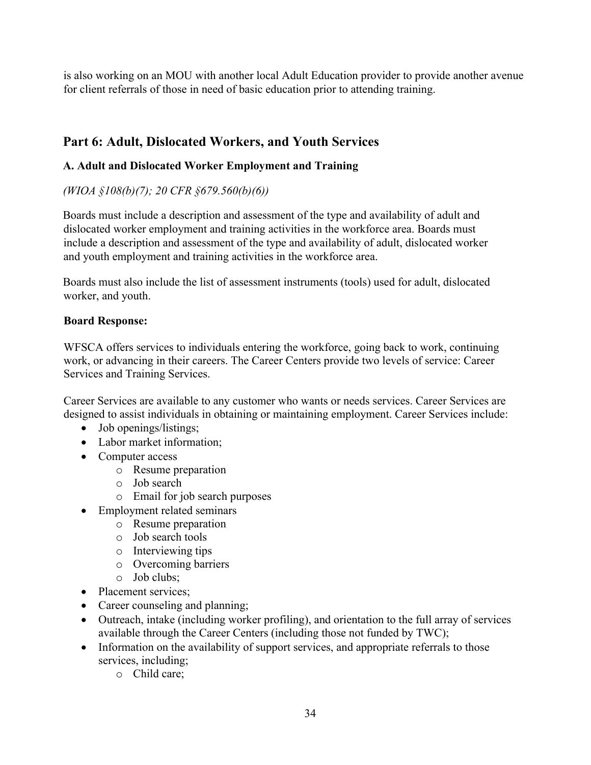is also working on an MOU with another local Adult Education provider to provide another avenue for client referrals of those in need of basic education prior to attending training.

# **Part 6: Adult, Dislocated Workers, and Youth Services**

# **A. Adult and Dislocated Worker Employment and Training**

# *(WIOA §108(b)(7); 20 CFR §679.560(b)(6))*

Boards must include a description and assessment of the type and availability of adult and dislocated worker employment and training activities in the workforce area. Boards must include a description and assessment of the type and availability of adult, dislocated worker and youth employment and training activities in the workforce area.

Boards must also include the list of assessment instruments (tools) used for adult, dislocated worker, and youth.

### **Board Response:**

WFSCA offers services to individuals entering the workforce, going back to work, continuing work, or advancing in their careers. The Career Centers provide two levels of service: Career Services and Training Services.

Career Services are available to any customer who wants or needs services. Career Services are designed to assist individuals in obtaining or maintaining employment. Career Services include:

- Job openings/listings;
- Labor market information:
- Computer access
	- o Resume preparation
	- o Job search
	- o Email for job search purposes
- Employment related seminars
	- o Resume preparation
	- o Job search tools
	- o Interviewing tips
	- o Overcoming barriers
	- o Job clubs;
- Placement services;
- Career counseling and planning;
- Outreach, intake (including worker profiling), and orientation to the full array of services available through the Career Centers (including those not funded by TWC);
- Information on the availability of support services, and appropriate referrals to those services, including;
	- o Child care;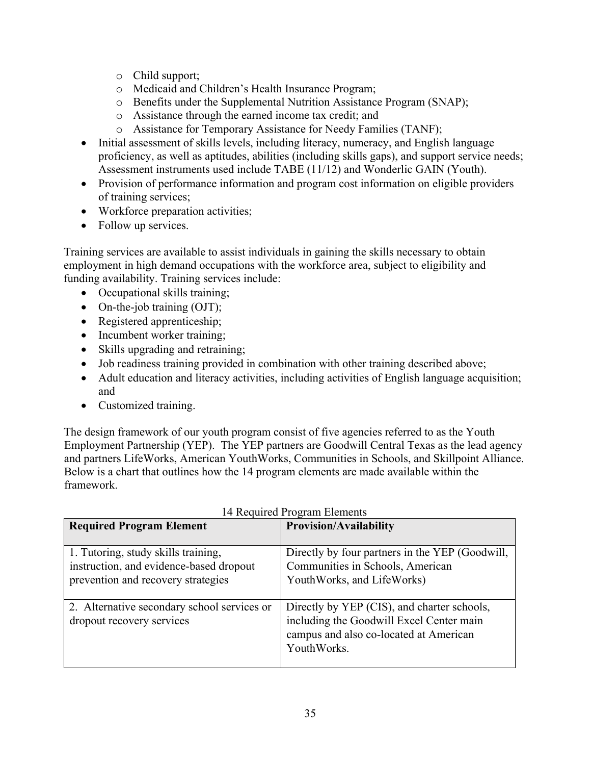- o Child support;
- o Medicaid and Children's Health Insurance Program;
- o Benefits under the Supplemental Nutrition Assistance Program (SNAP);
- o Assistance through the earned income tax credit; and
- o Assistance for Temporary Assistance for Needy Families (TANF);
- Initial assessment of skills levels, including literacy, numeracy, and English language proficiency, as well as aptitudes, abilities (including skills gaps), and support service needs; Assessment instruments used include TABE (11/12) and Wonderlic GAIN (Youth).
- Provision of performance information and program cost information on eligible providers of training services;
- Workforce preparation activities;
- Follow up services.

Training services are available to assist individuals in gaining the skills necessary to obtain employment in high demand occupations with the workforce area, subject to eligibility and funding availability. Training services include:

- Occupational skills training;
- On-the-job training (OJT);
- Registered apprenticeship;
- Incumbent worker training;
- Skills upgrading and retraining;
- Job readiness training provided in combination with other training described above;
- Adult education and literacy activities, including activities of English language acquisition; and
- Customized training.

The design framework of our youth program consist of five agencies referred to as the Youth Employment Partnership (YEP). The YEP partners are Goodwill Central Texas as the lead agency and partners LifeWorks, American YouthWorks, Communities in Schools, and Skillpoint Alliance. Below is a chart that outlines how the 14 program elements are made available within the framework.

| <b>Required Program Element</b>                                                                                      | <b>Provision/Availability</b>                                                                                                                    |
|----------------------------------------------------------------------------------------------------------------------|--------------------------------------------------------------------------------------------------------------------------------------------------|
| 1. Tutoring, study skills training,<br>instruction, and evidence-based dropout<br>prevention and recovery strategies | Directly by four partners in the YEP (Goodwill,<br>Communities in Schools, American<br>YouthWorks, and LifeWorks)                                |
| 2. Alternative secondary school services or<br>dropout recovery services                                             | Directly by YEP (CIS), and charter schools,<br>including the Goodwill Excel Center main<br>campus and also co-located at American<br>YouthWorks. |

#### 14 Required Program Elements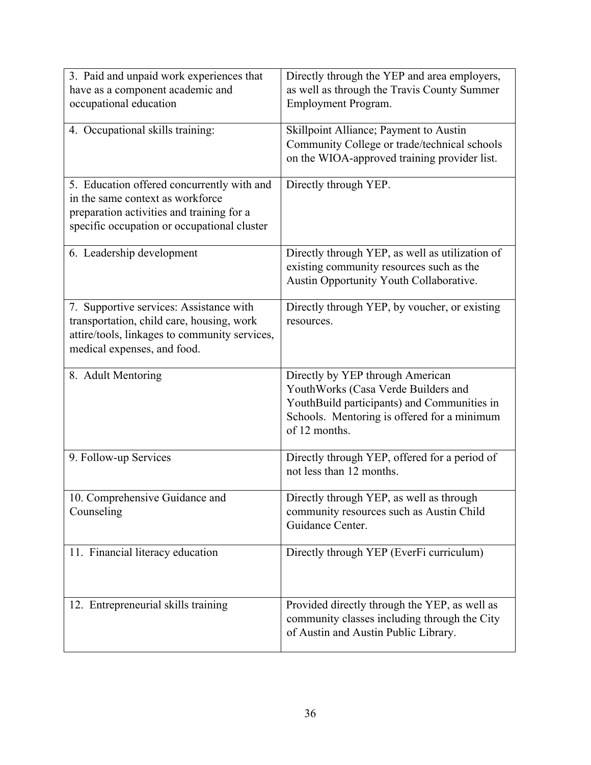| 3. Paid and unpaid work experiences that<br>have as a component academic and<br>occupational education                                                                     | Directly through the YEP and area employers,<br>as well as through the Travis County Summer<br>Employment Program.                                                                     |
|----------------------------------------------------------------------------------------------------------------------------------------------------------------------------|----------------------------------------------------------------------------------------------------------------------------------------------------------------------------------------|
| 4. Occupational skills training:                                                                                                                                           | Skillpoint Alliance; Payment to Austin<br>Community College or trade/technical schools<br>on the WIOA-approved training provider list.                                                 |
| 5. Education offered concurrently with and<br>in the same context as workforce<br>preparation activities and training for a<br>specific occupation or occupational cluster | Directly through YEP.                                                                                                                                                                  |
| 6. Leadership development                                                                                                                                                  | Directly through YEP, as well as utilization of<br>existing community resources such as the<br>Austin Opportunity Youth Collaborative.                                                 |
| 7. Supportive services: Assistance with<br>transportation, child care, housing, work<br>attire/tools, linkages to community services,<br>medical expenses, and food.       | Directly through YEP, by voucher, or existing<br>resources.                                                                                                                            |
| 8. Adult Mentoring                                                                                                                                                         | Directly by YEP through American<br>YouthWorks (Casa Verde Builders and<br>YouthBuild participants) and Communities in<br>Schools. Mentoring is offered for a minimum<br>of 12 months. |
| 9. Follow-up Services                                                                                                                                                      | Directly through YEP, offered for a period of<br>not less than 12 months.                                                                                                              |
| 10. Comprehensive Guidance and<br>Counseling                                                                                                                               | Directly through YEP, as well as through<br>community resources such as Austin Child<br>Guidance Center.                                                                               |
| 11. Financial literacy education                                                                                                                                           | Directly through YEP (EverFi curriculum)                                                                                                                                               |
| 12. Entrepreneurial skills training                                                                                                                                        | Provided directly through the YEP, as well as<br>community classes including through the City<br>of Austin and Austin Public Library.                                                  |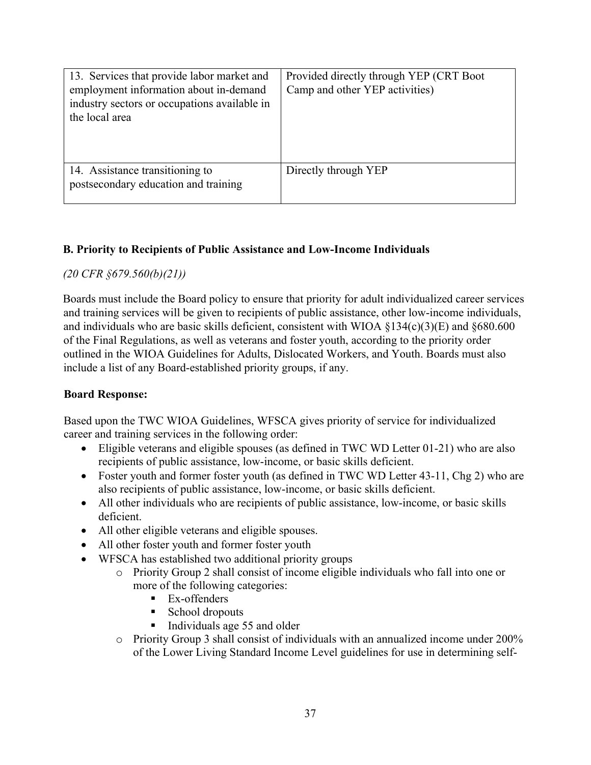| 13. Services that provide labor market and<br>employment information about in-demand<br>industry sectors or occupations available in<br>the local area | Provided directly through YEP (CRT Boot<br>Camp and other YEP activities) |
|--------------------------------------------------------------------------------------------------------------------------------------------------------|---------------------------------------------------------------------------|
| 14. Assistance transitioning to<br>postsecondary education and training                                                                                | Directly through YEP                                                      |

#### **B. Priority to Recipients of Public Assistance and Low-Income Individuals**

#### *(20 CFR §679.560(b)(21))*

Boards must include the Board policy to ensure that priority for adult individualized career services and training services will be given to recipients of public assistance, other low-income individuals, and individuals who are basic skills deficient, consistent with WIOA  $\S$ 134(c)(3)(E) and  $\S$ 680.600 of the Final Regulations, as well as veterans and foster youth, according to the priority order outlined in the WIOA Guidelines for Adults, Dislocated Workers, and Youth. Boards must also include a list of any Board-established priority groups, if any.

#### **Board Response:**

Based upon the TWC WIOA Guidelines, WFSCA gives priority of service for individualized career and training services in the following order:

- Eligible veterans and eligible spouses (as defined in TWC WD Letter 01-21) who are also recipients of public assistance, low-income, or basic skills deficient.
- Foster youth and former foster youth (as defined in TWC WD Letter 43-11, Chg 2) who are also recipients of public assistance, low-income, or basic skills deficient.
- All other individuals who are recipients of public assistance, low-income, or basic skills deficient.
- All other eligible veterans and eligible spouses.
- All other foster youth and former foster youth
- WFSCA has established two additional priority groups
	- o Priority Group 2 shall consist of income eligible individuals who fall into one or more of the following categories:
		- **Ex-offenders**
		- School dropouts
		- $\blacksquare$  Individuals age 55 and older
	- $\circ$  Priority Group 3 shall consist of individuals with an annualized income under 200% of the Lower Living Standard Income Level guidelines for use in determining self-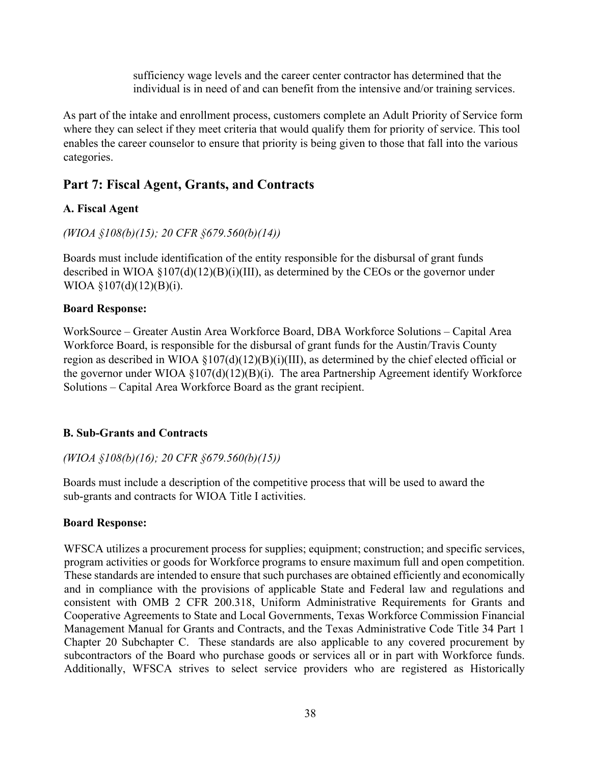sufficiency wage levels and the career center contractor has determined that the individual is in need of and can benefit from the intensive and/or training services.

As part of the intake and enrollment process, customers complete an Adult Priority of Service form where they can select if they meet criteria that would qualify them for priority of service. This tool enables the career counselor to ensure that priority is being given to those that fall into the various categories.

# **Part 7: Fiscal Agent, Grants, and Contracts**

# **A. Fiscal Agent**

## *(WIOA §108(b)(15); 20 CFR §679.560(b)(14))*

Boards must include identification of the entity responsible for the disbursal of grant funds described in WIOA §107(d)(12)(B)(i)(III), as determined by the CEOs or the governor under WIOA §107(d)(12)(B)(i).

## **Board Response:**

WorkSource – Greater Austin Area Workforce Board, DBA Workforce Solutions – Capital Area Workforce Board, is responsible for the disbursal of grant funds for the Austin/Travis County region as described in WIOA §107(d)(12)(B)(i)(III), as determined by the chief elected official or the governor under WIOA §107(d)(12)(B)(i). The area Partnership Agreement identify Workforce Solutions – Capital Area Workforce Board as the grant recipient.

## **B. Sub-Grants and Contracts**

*(WIOA §108(b)(16); 20 CFR §679.560(b)(15))* 

Boards must include a description of the competitive process that will be used to award the sub-grants and contracts for WIOA Title I activities.

## **Board Response:**

WFSCA utilizes a procurement process for supplies; equipment; construction; and specific services, program activities or goods for Workforce programs to ensure maximum full and open competition. These standards are intended to ensure that such purchases are obtained efficiently and economically and in compliance with the provisions of applicable State and Federal law and regulations and consistent with OMB 2 CFR 200.318, Uniform Administrative Requirements for Grants and Cooperative Agreements to State and Local Governments, Texas Workforce Commission Financial Management Manual for Grants and Contracts, and the Texas Administrative Code Title 34 Part 1 Chapter 20 Subchapter C. These standards are also applicable to any covered procurement by subcontractors of the Board who purchase goods or services all or in part with Workforce funds. Additionally, WFSCA strives to select service providers who are registered as Historically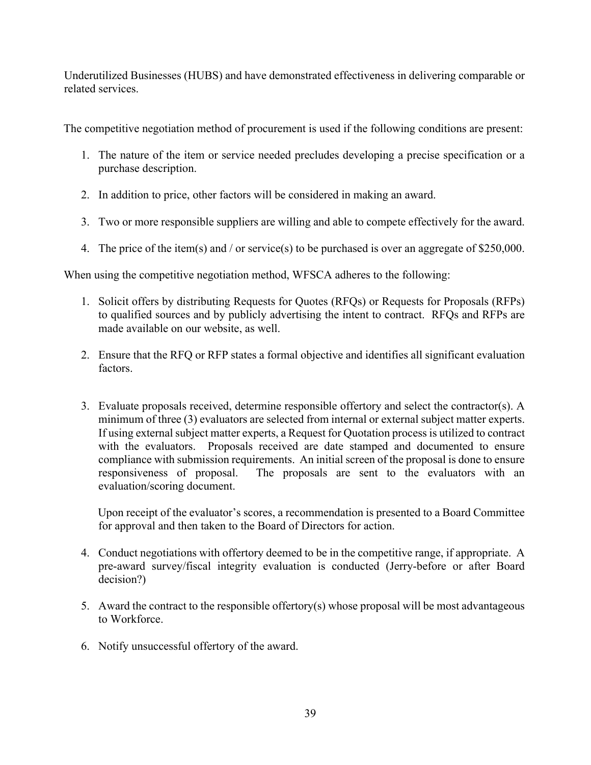Underutilized Businesses (HUBS) and have demonstrated effectiveness in delivering comparable or related services.

The competitive negotiation method of procurement is used if the following conditions are present:

- 1. The nature of the item or service needed precludes developing a precise specification or a purchase description.
- 2. In addition to price, other factors will be considered in making an award.
- 3. Two or more responsible suppliers are willing and able to compete effectively for the award.
- 4. The price of the item(s) and / or service(s) to be purchased is over an aggregate of \$250,000.

When using the competitive negotiation method, WFSCA adheres to the following:

- 1. Solicit offers by distributing Requests for Quotes (RFQs) or Requests for Proposals (RFPs) to qualified sources and by publicly advertising the intent to contract. RFQs and RFPs are made available on our website, as well.
- 2. Ensure that the RFQ or RFP states a formal objective and identifies all significant evaluation factors.
- 3. Evaluate proposals received, determine responsible offertory and select the contractor(s). A minimum of three (3) evaluators are selected from internal or external subject matter experts. If using external subject matter experts, a Request for Quotation process is utilized to contract with the evaluators. Proposals received are date stamped and documented to ensure compliance with submission requirements. An initial screen of the proposal is done to ensure responsiveness of proposal. The proposals are sent to the evaluators with an evaluation/scoring document.

Upon receipt of the evaluator's scores, a recommendation is presented to a Board Committee for approval and then taken to the Board of Directors for action.

- 4. Conduct negotiations with offertory deemed to be in the competitive range, if appropriate. A pre-award survey/fiscal integrity evaluation is conducted (Jerry-before or after Board decision?)
- 5. Award the contract to the responsible offertory(s) whose proposal will be most advantageous to Workforce.
- 6. Notify unsuccessful offertory of the award.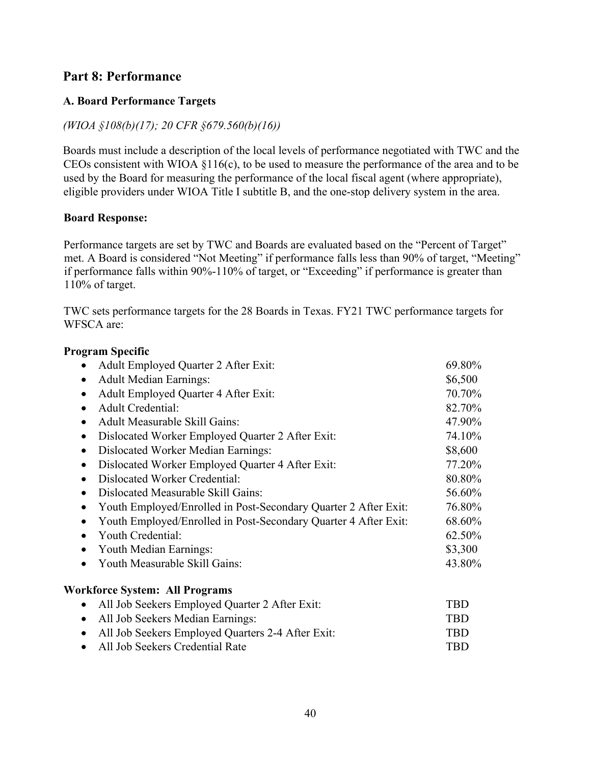# **Part 8: Performance**

### **A. Board Performance Targets**

#### *(WIOA §108(b)(17); 20 CFR §679.560(b)(16))*

Boards must include a description of the local levels of performance negotiated with TWC and the CEOs consistent with WIOA §116(c), to be used to measure the performance of the area and to be used by the Board for measuring the performance of the local fiscal agent (where appropriate), eligible providers under WIOA Title I subtitle B, and the one-stop delivery system in the area.

#### **Board Response:**

Performance targets are set by TWC and Boards are evaluated based on the "Percent of Target" met. A Board is considered "Not Meeting" if performance falls less than 90% of target, "Meeting" if performance falls within 90%-110% of target, or "Exceeding" if performance is greater than 110% of target.

TWC sets performance targets for the 28 Boards in Texas. FY21 TWC performance targets for WFSCA are:

| <b>Program Specific</b>                                         |         |
|-----------------------------------------------------------------|---------|
| Adult Employed Quarter 2 After Exit:                            | 69.80%  |
| <b>Adult Median Earnings:</b><br>$\bullet$                      | \$6,500 |
| Adult Employed Quarter 4 After Exit:<br>$\bullet$               | 70.70%  |
| <b>Adult Credential:</b>                                        | 82.70%  |
| <b>Adult Measurable Skill Gains:</b>                            | 47.90%  |
| Dislocated Worker Employed Quarter 2 After Exit:                | 74.10%  |
| <b>Dislocated Worker Median Earnings:</b><br>$\bullet$          | \$8,600 |
| Dislocated Worker Employed Quarter 4 After Exit:<br>$\bullet$   | 77.20%  |
| <b>Dislocated Worker Credential:</b>                            | 80.80%  |
| Dislocated Measurable Skill Gains:<br>$\bullet$                 |         |
| Youth Employed/Enrolled in Post-Secondary Quarter 2 After Exit: | 76.80%  |
| Youth Employed/Enrolled in Post-Secondary Quarter 4 After Exit: | 68.60%  |
| Youth Credential:                                               | 62.50%  |
| Youth Median Earnings:<br>$\bullet$                             | \$3,300 |
| Youth Measurable Skill Gains:                                   | 43.80%  |
| <b>Workforce System: All Programs</b>                           |         |
| All Job Seekers Employed Quarter 2 After Exit:                  | TBD     |
| All Job Sockare Modian Fornings                                 | TDN     |

| TBD. |
|------|
| TBD. |
| TBD. |
|      |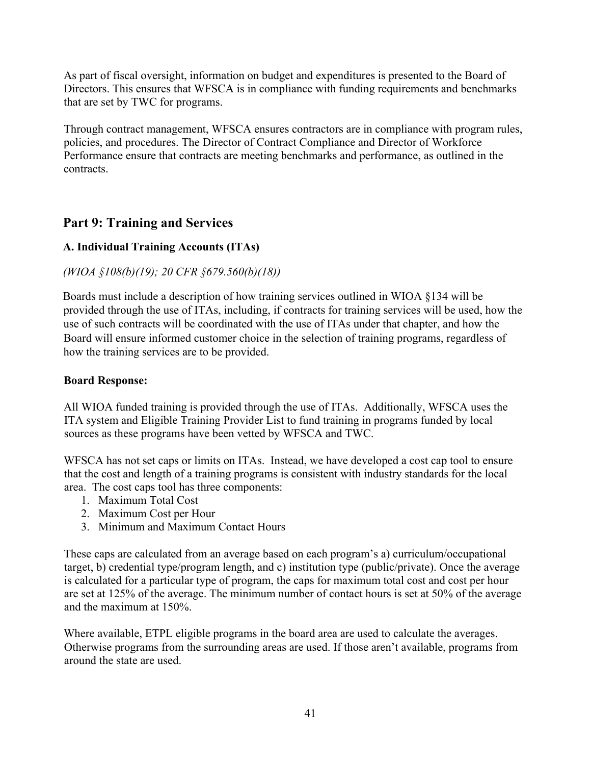As part of fiscal oversight, information on budget and expenditures is presented to the Board of Directors. This ensures that WFSCA is in compliance with funding requirements and benchmarks that are set by TWC for programs.

Through contract management, WFSCA ensures contractors are in compliance with program rules, policies, and procedures. The Director of Contract Compliance and Director of Workforce Performance ensure that contracts are meeting benchmarks and performance, as outlined in the contracts.

# **Part 9: Training and Services**

### **A. Individual Training Accounts (ITAs)**

### *(WIOA §108(b)(19); 20 CFR §679.560(b)(18))*

Boards must include a description of how training services outlined in WIOA §134 will be provided through the use of ITAs, including, if contracts for training services will be used, how the use of such contracts will be coordinated with the use of ITAs under that chapter, and how the Board will ensure informed customer choice in the selection of training programs, regardless of how the training services are to be provided.

#### **Board Response:**

All WIOA funded training is provided through the use of ITAs. Additionally, WFSCA uses the ITA system and Eligible Training Provider List to fund training in programs funded by local sources as these programs have been vetted by WFSCA and TWC.

WFSCA has not set caps or limits on ITAs. Instead, we have developed a cost cap tool to ensure that the cost and length of a training programs is consistent with industry standards for the local area. The cost caps tool has three components:

- 1. Maximum Total Cost
- 2. Maximum Cost per Hour
- 3. Minimum and Maximum Contact Hours

These caps are calculated from an average based on each program's a) curriculum/occupational target, b) credential type/program length, and c) institution type (public/private). Once the average is calculated for a particular type of program, the caps for maximum total cost and cost per hour are set at 125% of the average. The minimum number of contact hours is set at 50% of the average and the maximum at 150%.

Where available, ETPL eligible programs in the board area are used to calculate the averages. Otherwise programs from the surrounding areas are used. If those aren't available, programs from around the state are used.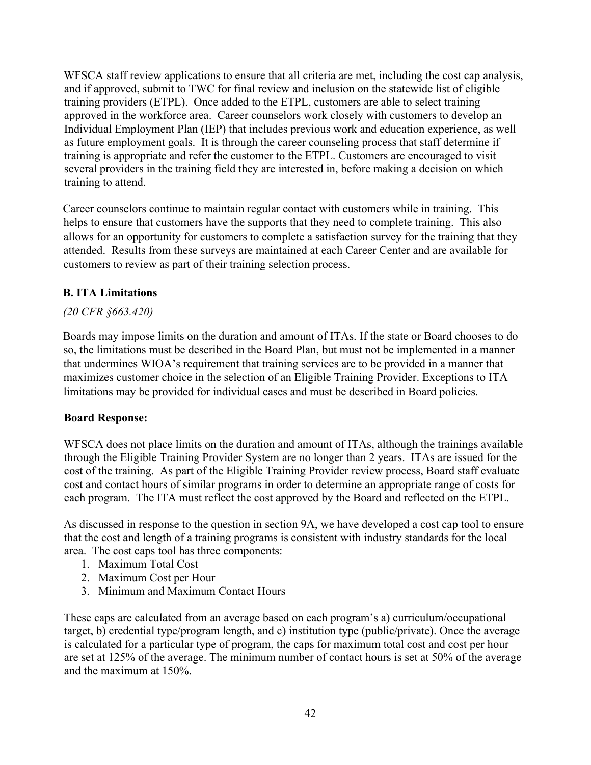WFSCA staff review applications to ensure that all criteria are met, including the cost cap analysis, and if approved, submit to TWC for final review and inclusion on the statewide list of eligible training providers (ETPL). Once added to the ETPL, customers are able to select training approved in the workforce area. Career counselors work closely with customers to develop an Individual Employment Plan (IEP) that includes previous work and education experience, as well as future employment goals. It is through the career counseling process that staff determine if training is appropriate and refer the customer to the ETPL. Customers are encouraged to visit several providers in the training field they are interested in, before making a decision on which training to attend.

Career counselors continue to maintain regular contact with customers while in training. This helps to ensure that customers have the supports that they need to complete training. This also allows for an opportunity for customers to complete a satisfaction survey for the training that they attended. Results from these surveys are maintained at each Career Center and are available for customers to review as part of their training selection process.

### **B. ITA Limitations**

#### *(20 CFR §663.420)*

Boards may impose limits on the duration and amount of ITAs. If the state or Board chooses to do so, the limitations must be described in the Board Plan, but must not be implemented in a manner that undermines WIOA's requirement that training services are to be provided in a manner that maximizes customer choice in the selection of an Eligible Training Provider. Exceptions to ITA limitations may be provided for individual cases and must be described in Board policies.

#### **Board Response:**

WFSCA does not place limits on the duration and amount of ITAs, although the trainings available through the Eligible Training Provider System are no longer than 2 years. ITAs are issued for the cost of the training. As part of the Eligible Training Provider review process, Board staff evaluate cost and contact hours of similar programs in order to determine an appropriate range of costs for each program. The ITA must reflect the cost approved by the Board and reflected on the ETPL.

As discussed in response to the question in section 9A, we have developed a cost cap tool to ensure that the cost and length of a training programs is consistent with industry standards for the local area. The cost caps tool has three components:

- 1. Maximum Total Cost
- 2. Maximum Cost per Hour
- 3. Minimum and Maximum Contact Hours

These caps are calculated from an average based on each program's a) curriculum/occupational target, b) credential type/program length, and c) institution type (public/private). Once the average is calculated for a particular type of program, the caps for maximum total cost and cost per hour are set at 125% of the average. The minimum number of contact hours is set at 50% of the average and the maximum at 150%.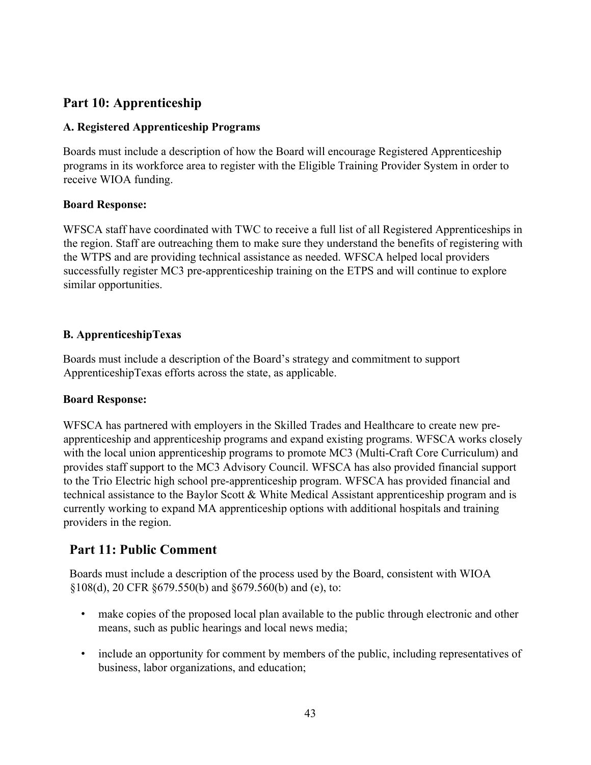# **Part 10: Apprenticeship**

### **A. Registered Apprenticeship Programs**

Boards must include a description of how the Board will encourage Registered Apprenticeship programs in its workforce area to register with the Eligible Training Provider System in order to receive WIOA funding.

### **Board Response:**

WFSCA staff have coordinated with TWC to receive a full list of all Registered Apprenticeships in the region. Staff are outreaching them to make sure they understand the benefits of registering with the WTPS and are providing technical assistance as needed. WFSCA helped local providers successfully register MC3 pre-apprenticeship training on the ETPS and will continue to explore similar opportunities.

# **B. ApprenticeshipTexas**

Boards must include a description of the Board's strategy and commitment to support ApprenticeshipTexas efforts across the state, as applicable.

## **Board Response:**

WFSCA has partnered with employers in the Skilled Trades and Healthcare to create new preapprenticeship and apprenticeship programs and expand existing programs. WFSCA works closely with the local union apprenticeship programs to promote MC3 (Multi-Craft Core Curriculum) and provides staff support to the MC3 Advisory Council. WFSCA has also provided financial support to the Trio Electric high school pre-apprenticeship program. WFSCA has provided financial and technical assistance to the Baylor Scott & White Medical Assistant apprenticeship program and is currently working to expand MA apprenticeship options with additional hospitals and training providers in the region.

# **Part 11: Public Comment**

Boards must include a description of the process used by the Board, consistent with WIOA §108(d), 20 CFR §679.550(b) and §679.560(b) and (e), to:

- make copies of the proposed local plan available to the public through electronic and other means, such as public hearings and local news media;
- include an opportunity for comment by members of the public, including representatives of business, labor organizations, and education;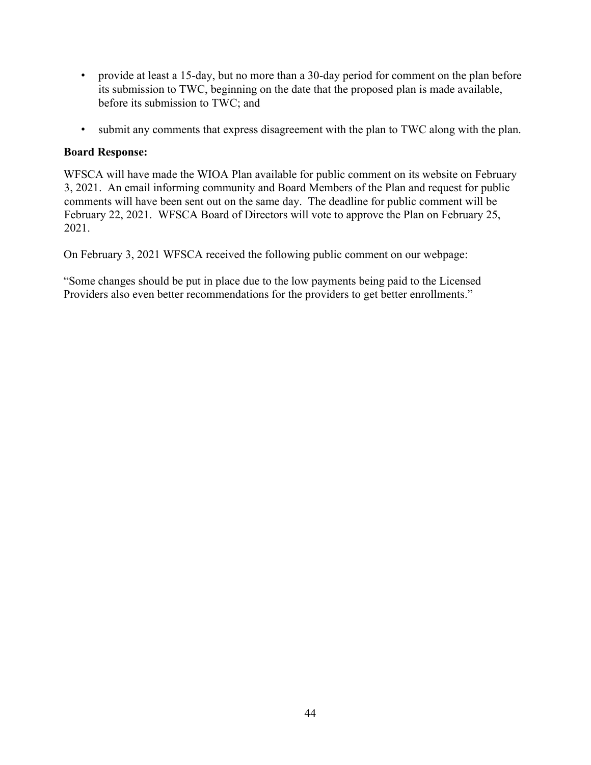- provide at least a 15-day, but no more than a 30-day period for comment on the plan before its submission to TWC, beginning on the date that the proposed plan is made available, before its submission to TWC; and
- submit any comments that express disagreement with the plan to TWC along with the plan.

#### **Board Response:**

WFSCA will have made the WIOA Plan available for public comment on its website on February 3, 2021. An email informing community and Board Members of the Plan and request for public comments will have been sent out on the same day. The deadline for public comment will be February 22, 2021. WFSCA Board of Directors will vote to approve the Plan on February 25, 2021.

On February 3, 2021 WFSCA received the following public comment on our webpage:

"Some changes should be put in place due to the low payments being paid to the Licensed Providers also even better recommendations for the providers to get better enrollments."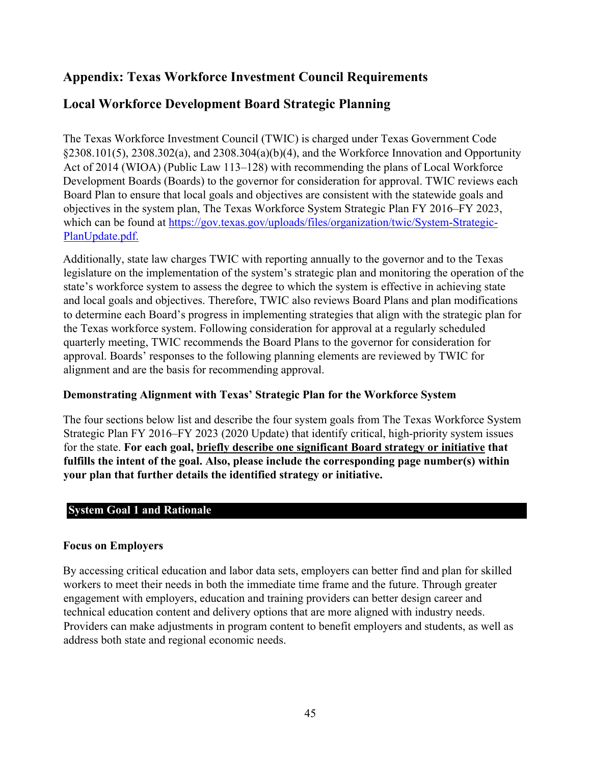# **Appendix: Texas Workforce Investment Council Requirements**

# **Local Workforce Development Board Strategic Planning**

The Texas Workforce Investment Council (TWIC) is charged under Texas Government Code §2308.101(5), 2308.302(a), and 2308.304(a)(b)(4), and the Workforce Innovation and Opportunity Act of 2014 (WIOA) (Public Law 113–128) with recommending the plans of Local Workforce Development Boards (Boards) to the governor for consideration for approval. TWIC reviews each Board Plan to ensure that local goals and objectives are consistent with the statewide goals and objectives in the system plan, The Texas Workforce System Strategic Plan FY 2016–FY 2023, which can be found at https://gov.texas.gov/uploads/files/organization/twic/System-Strategic-PlanUpdate.pdf.

Additionally, state law charges TWIC with reporting annually to the governor and to the Texas legislature on the implementation of the system's strategic plan and monitoring the operation of the state's workforce system to assess the degree to which the system is effective in achieving state and local goals and objectives. Therefore, TWIC also reviews Board Plans and plan modifications to determine each Board's progress in implementing strategies that align with the strategic plan for the Texas workforce system. Following consideration for approval at a regularly scheduled quarterly meeting, TWIC recommends the Board Plans to the governor for consideration for approval. Boards' responses to the following planning elements are reviewed by TWIC for alignment and are the basis for recommending approval.

#### **Demonstrating Alignment with Texas' Strategic Plan for the Workforce System**

The four sections below list and describe the four system goals from The Texas Workforce System Strategic Plan FY 2016–FY 2023 (2020 Update) that identify critical, high-priority system issues for the state. **For each goal, briefly describe one significant Board strategy or initiative that fulfills the intent of the goal. Also, please include the corresponding page number(s) within your plan that further details the identified strategy or initiative.**

#### **System Goal 1 and Rationale**

#### **Focus on Employers**

By accessing critical education and labor data sets, employers can better find and plan for skilled workers to meet their needs in both the immediate time frame and the future. Through greater engagement with employers, education and training providers can better design career and technical education content and delivery options that are more aligned with industry needs. Providers can make adjustments in program content to benefit employers and students, as well as address both state and regional economic needs.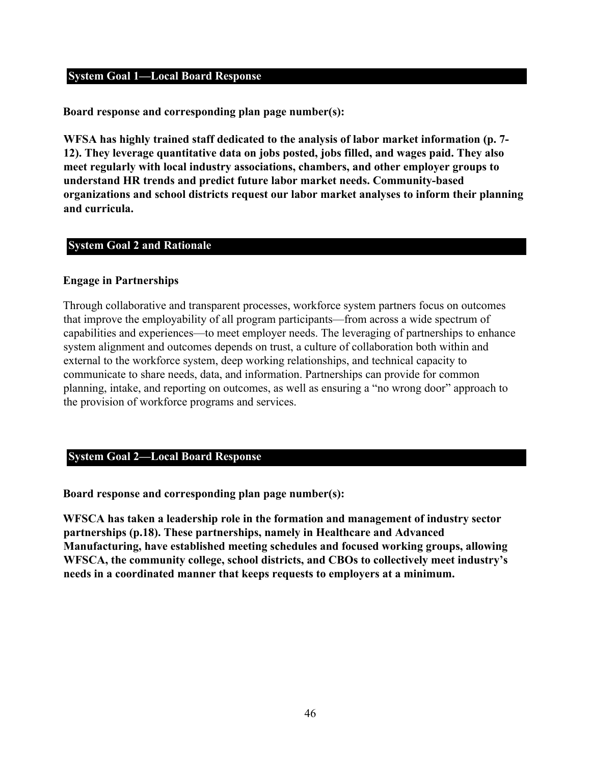#### **System Goal 1—Local Board Response**

**Board response and corresponding plan page number(s):** 

**WFSA has highly trained staff dedicated to the analysis of labor market information (p. 7- 12). They leverage quantitative data on jobs posted, jobs filled, and wages paid. They also meet regularly with local industry associations, chambers, and other employer groups to understand HR trends and predict future labor market needs. Community-based organizations and school districts request our labor market analyses to inform their planning and curricula.** 

#### **System Goal 2 and Rationale**

#### **Engage in Partnerships**

Through collaborative and transparent processes, workforce system partners focus on outcomes that improve the employability of all program participants—from across a wide spectrum of capabilities and experiences—to meet employer needs. The leveraging of partnerships to enhance system alignment and outcomes depends on trust, a culture of collaboration both within and external to the workforce system, deep working relationships, and technical capacity to communicate to share needs, data, and information. Partnerships can provide for common planning, intake, and reporting on outcomes, as well as ensuring a "no wrong door" approach to the provision of workforce programs and services.

#### **System Goal 2—Local Board Response**

**Board response and corresponding plan page number(s):** 

**WFSCA has taken a leadership role in the formation and management of industry sector partnerships (p.18). These partnerships, namely in Healthcare and Advanced Manufacturing, have established meeting schedules and focused working groups, allowing WFSCA, the community college, school districts, and CBOs to collectively meet industry's needs in a coordinated manner that keeps requests to employers at a minimum.**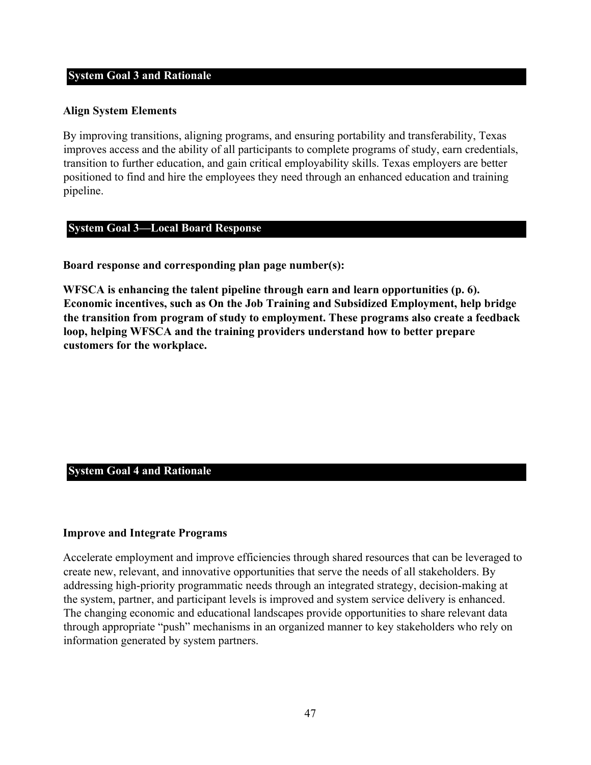#### **System Goal 3 and Rationale**

#### **Align System Elements**

By improving transitions, aligning programs, and ensuring portability and transferability, Texas improves access and the ability of all participants to complete programs of study, earn credentials, transition to further education, and gain critical employability skills. Texas employers are better positioned to find and hire the employees they need through an enhanced education and training pipeline.

#### **System Goal 3—Local Board Response**

**Board response and corresponding plan page number(s):** 

**WFSCA is enhancing the talent pipeline through earn and learn opportunities (p. 6). Economic incentives, such as On the Job Training and Subsidized Employment, help bridge the transition from program of study to employment. These programs also create a feedback loop, helping WFSCA and the training providers understand how to better prepare customers for the workplace.** 

#### **System Goal 4 and Rationale**

#### **Improve and Integrate Programs**

Accelerate employment and improve efficiencies through shared resources that can be leveraged to create new, relevant, and innovative opportunities that serve the needs of all stakeholders. By addressing high-priority programmatic needs through an integrated strategy, decision-making at the system, partner, and participant levels is improved and system service delivery is enhanced. The changing economic and educational landscapes provide opportunities to share relevant data through appropriate "push" mechanisms in an organized manner to key stakeholders who rely on information generated by system partners.